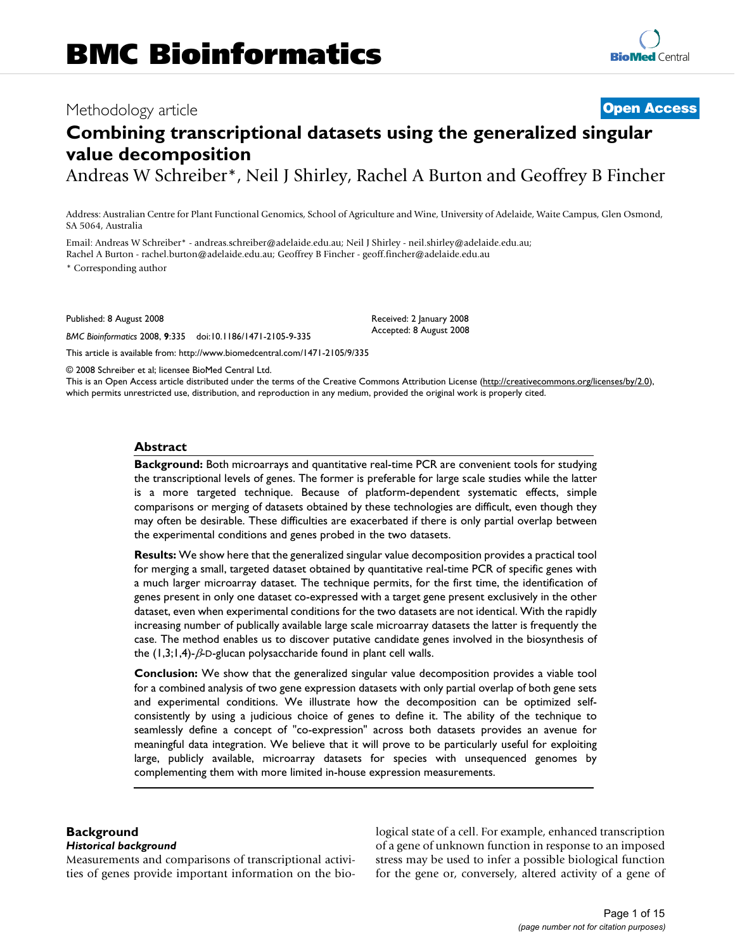## Methodology article **[Open Access](http://www.biomedcentral.com/info/about/charter/)**

# **Combining transcriptional datasets using the generalized singular value decomposition**

Andreas W Schreiber\*, Neil J Shirley, Rachel A Burton and Geoffrey B Fincher

Address: Australian Centre for Plant Functional Genomics, School of Agriculture and Wine, University of Adelaide, Waite Campus, Glen Osmond, SA 5064, Australia

Email: Andreas W Schreiber\* - andreas.schreiber@adelaide.edu.au; Neil J Shirley - neil.shirley@adelaide.edu.au; Rachel A Burton - rachel.burton@adelaide.edu.au; Geoffrey B Fincher - geoff.fincher@adelaide.edu.au

\* Corresponding author

Published: 8 August 2008

*BMC Bioinformatics* 2008, **9**:335 doi:10.1186/1471-2105-9-335

[This article is available from: http://www.biomedcentral.com/1471-2105/9/335](http://www.biomedcentral.com/1471-2105/9/335)

© 2008 Schreiber et al; licensee BioMed Central Ltd.

This is an Open Access article distributed under the terms of the Creative Commons Attribution License [\(http://creativecommons.org/licenses/by/2.0\)](http://creativecommons.org/licenses/by/2.0), which permits unrestricted use, distribution, and reproduction in any medium, provided the original work is properly cited.

Received: 2 January 2008 Accepted: 8 August 2008

#### **Abstract**

**Background:** Both microarrays and quantitative real-time PCR are convenient tools for studying the transcriptional levels of genes. The former is preferable for large scale studies while the latter is a more targeted technique. Because of platform-dependent systematic effects, simple comparisons or merging of datasets obtained by these technologies are difficult, even though they may often be desirable. These difficulties are exacerbated if there is only partial overlap between the experimental conditions and genes probed in the two datasets.

**Results:** We show here that the generalized singular value decomposition provides a practical tool for merging a small, targeted dataset obtained by quantitative real-time PCR of specific genes with a much larger microarray dataset. The technique permits, for the first time, the identification of genes present in only one dataset co-expressed with a target gene present exclusively in the other dataset, even when experimental conditions for the two datasets are not identical. With the rapidly increasing number of publically available large scale microarray datasets the latter is frequently the case. The method enables us to discover putative candidate genes involved in the biosynthesis of the  $(1,3;1,4)$ - $\beta$ -D-glucan polysaccharide found in plant cell walls.

**Conclusion:** We show that the generalized singular value decomposition provides a viable tool for a combined analysis of two gene expression datasets with only partial overlap of both gene sets and experimental conditions. We illustrate how the decomposition can be optimized selfconsistently by using a judicious choice of genes to define it. The ability of the technique to seamlessly define a concept of "co-expression" across both datasets provides an avenue for meaningful data integration. We believe that it will prove to be particularly useful for exploiting large, publicly available, microarray datasets for species with unsequenced genomes by complementing them with more limited in-house expression measurements.

#### **Background** *Historical background*

Measurements and comparisons of transcriptional activities of genes provide important information on the biological state of a cell. For example, enhanced transcription of a gene of unknown function in response to an imposed stress may be used to infer a possible biological function for the gene or, conversely, altered activity of a gene of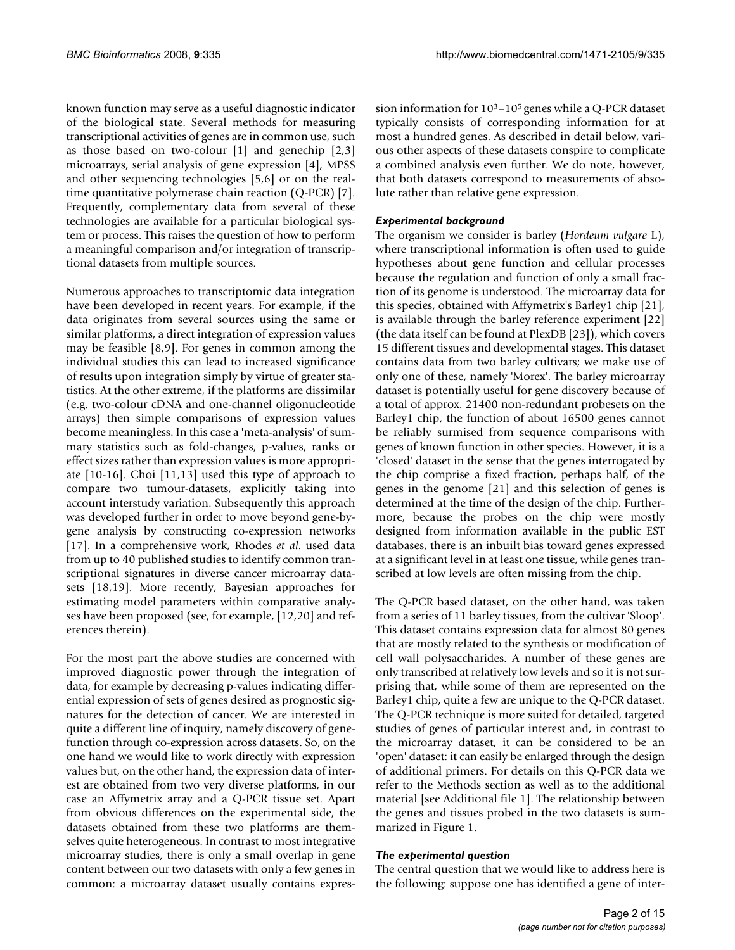known function may serve as a useful diagnostic indicator of the biological state. Several methods for measuring transcriptional activities of genes are in common use, such as those based on two-colour [1] and genechip [2,3] microarrays, serial analysis of gene expression [4], MPSS and other sequencing technologies [5,6] or on the realtime quantitative polymerase chain reaction (Q-PCR) [7]. Frequently, complementary data from several of these technologies are available for a particular biological system or process. This raises the question of how to perform a meaningful comparison and/or integration of transcriptional datasets from multiple sources.

Numerous approaches to transcriptomic data integration have been developed in recent years. For example, if the data originates from several sources using the same or similar platforms, a direct integration of expression values may be feasible [8,9]. For genes in common among the individual studies this can lead to increased significance of results upon integration simply by virtue of greater statistics. At the other extreme, if the platforms are dissimilar (e.g. two-colour cDNA and one-channel oligonucleotide arrays) then simple comparisons of expression values become meaningless. In this case a 'meta-analysis' of summary statistics such as fold-changes, p-values, ranks or effect sizes rather than expression values is more appropriate [10-16]. Choi [11,13] used this type of approach to compare two tumour-datasets, explicitly taking into account interstudy variation. Subsequently this approach was developed further in order to move beyond gene-bygene analysis by constructing co-expression networks [17]. In a comprehensive work, Rhodes *et al*. used data from up to 40 published studies to identify common transcriptional signatures in diverse cancer microarray datasets [18,19]. More recently, Bayesian approaches for estimating model parameters within comparative analyses have been proposed (see, for example, [12,20] and references therein).

For the most part the above studies are concerned with improved diagnostic power through the integration of data, for example by decreasing p-values indicating differential expression of sets of genes desired as prognostic signatures for the detection of cancer. We are interested in quite a different line of inquiry, namely discovery of genefunction through co-expression across datasets. So, on the one hand we would like to work directly with expression values but, on the other hand, the expression data of interest are obtained from two very diverse platforms, in our case an Affymetrix array and a Q-PCR tissue set. Apart from obvious differences on the experimental side, the datasets obtained from these two platforms are themselves quite heterogeneous. In contrast to most integrative microarray studies, there is only a small overlap in gene content between our two datasets with only a few genes in common: a microarray dataset usually contains expression information for 103–105 genes while a Q-PCR dataset typically consists of corresponding information for at most a hundred genes. As described in detail below, various other aspects of these datasets conspire to complicate a combined analysis even further. We do note, however, that both datasets correspond to measurements of absolute rather than relative gene expression.

## *Experimental background*

The organism we consider is barley (*Hordeum vulgare* L), where transcriptional information is often used to guide hypotheses about gene function and cellular processes because the regulation and function of only a small fraction of its genome is understood. The microarray data for this species, obtained with Affymetrix's Barley1 chip [21], is available through the barley reference experiment [22] (the data itself can be found at PlexDB [23]), which covers 15 different tissues and developmental stages. This dataset contains data from two barley cultivars; we make use of only one of these, namely 'Morex'. The barley microarray dataset is potentially useful for gene discovery because of a total of approx. 21400 non-redundant probesets on the Barley1 chip, the function of about 16500 genes cannot be reliably surmised from sequence comparisons with genes of known function in other species. However, it is a 'closed' dataset in the sense that the genes interrogated by the chip comprise a fixed fraction, perhaps half, of the genes in the genome [21] and this selection of genes is determined at the time of the design of the chip. Furthermore, because the probes on the chip were mostly designed from information available in the public EST databases, there is an inbuilt bias toward genes expressed at a significant level in at least one tissue, while genes transcribed at low levels are often missing from the chip.

The Q-PCR based dataset, on the other hand, was taken from a series of 11 barley tissues, from the cultivar 'Sloop'. This dataset contains expression data for almost 80 genes that are mostly related to the synthesis or modification of cell wall polysaccharides. A number of these genes are only transcribed at relatively low levels and so it is not surprising that, while some of them are represented on the Barley1 chip, quite a few are unique to the Q-PCR dataset. The Q-PCR technique is more suited for detailed, targeted studies of genes of particular interest and, in contrast to the microarray dataset, it can be considered to be an 'open' dataset: it can easily be enlarged through the design of additional primers. For details on this Q-PCR data we refer to the Methods section as well as to the additional material [see Additional file 1]. The relationship between the genes and tissues probed in the two datasets is summarized in Figure 1.

## *The experimental question*

The central question that we would like to address here is the following: suppose one has identified a gene of inter-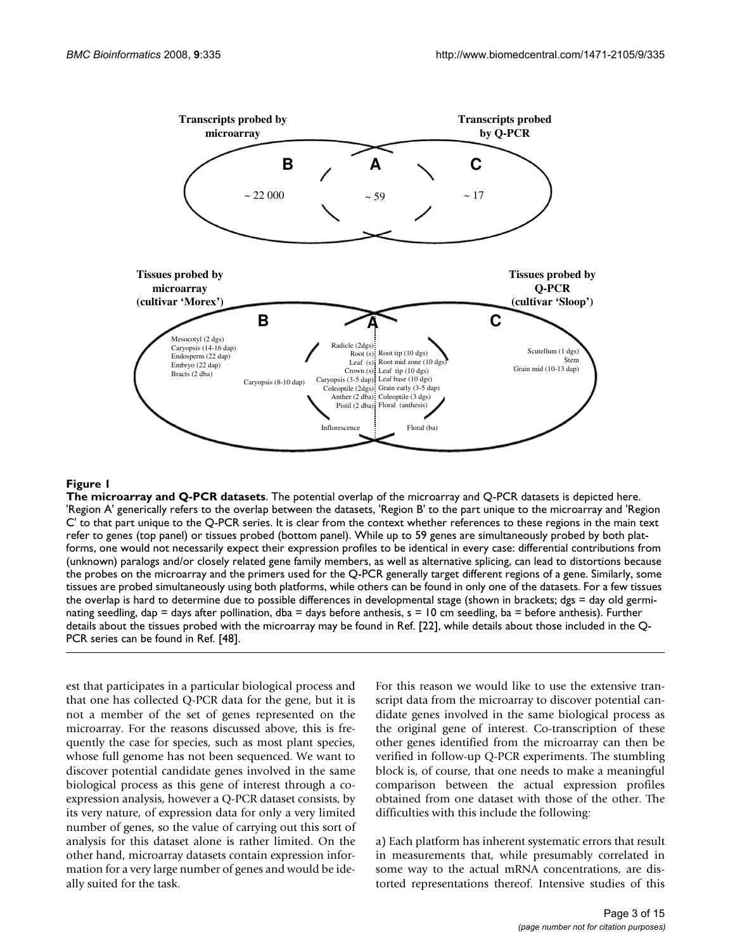

## **Figure 1**

**The microarray and Q-PCR datasets**. The potential overlap of the microarray and Q-PCR datasets is depicted here. 'Region A' generically refers to the overlap between the datasets, 'Region B' to the part unique to the microarray and 'Region C' to that part unique to the Q-PCR series. It is clear from the context whether references to these regions in the main text refer to genes (top panel) or tissues probed (bottom panel). While up to 59 genes are simultaneously probed by both platforms, one would not necessarily expect their expression profiles to be identical in every case: differential contributions from (unknown) paralogs and/or closely related gene family members, as well as alternative splicing, can lead to distortions because the probes on the microarray and the primers used for the Q-PCR generally target different regions of a gene. Similarly, some tissues are probed simultaneously using both platforms, while others can be found in only one of the datasets. For a few tissues the overlap is hard to determine due to possible differences in developmental stage (shown in brackets; dgs = day old germinating seedling, dap = days after pollination, dba = days before anthesis,  $s = 10$  cm seedling, ba = before anthesis). Further details about the tissues probed with the microarray may be found in Ref. [22], while details about those included in the Q-PCR series can be found in Ref. [48].

est that participates in a particular biological process and that one has collected Q-PCR data for the gene, but it is not a member of the set of genes represented on the microarray. For the reasons discussed above, this is frequently the case for species, such as most plant species, whose full genome has not been sequenced. We want to discover potential candidate genes involved in the same biological process as this gene of interest through a coexpression analysis, however a Q-PCR dataset consists, by its very nature, of expression data for only a very limited number of genes, so the value of carrying out this sort of analysis for this dataset alone is rather limited. On the other hand, microarray datasets contain expression information for a very large number of genes and would be ideally suited for the task.

For this reason we would like to use the extensive transcript data from the microarray to discover potential candidate genes involved in the same biological process as the original gene of interest. Co-transcription of these other genes identified from the microarray can then be verified in follow-up Q-PCR experiments. The stumbling block is, of course, that one needs to make a meaningful comparison between the actual expression profiles obtained from one dataset with those of the other. The difficulties with this include the following:

a) Each platform has inherent systematic errors that result in measurements that, while presumably correlated in some way to the actual mRNA concentrations, are distorted representations thereof. Intensive studies of this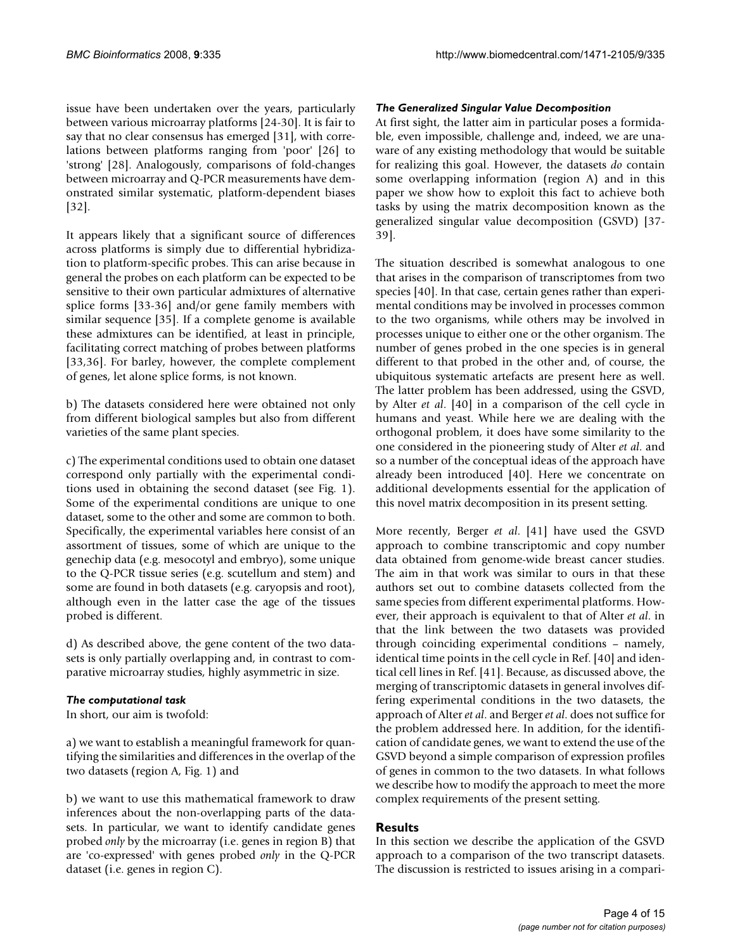issue have been undertaken over the years, particularly between various microarray platforms [24-30]. It is fair to say that no clear consensus has emerged [31], with correlations between platforms ranging from 'poor' [26] to 'strong' [28]. Analogously, comparisons of fold-changes between microarray and Q-PCR measurements have demonstrated similar systematic, platform-dependent biases [32].

It appears likely that a significant source of differences across platforms is simply due to differential hybridization to platform-specific probes. This can arise because in general the probes on each platform can be expected to be sensitive to their own particular admixtures of alternative splice forms [33-36] and/or gene family members with similar sequence [35]. If a complete genome is available these admixtures can be identified, at least in principle, facilitating correct matching of probes between platforms [33,36]. For barley, however, the complete complement of genes, let alone splice forms, is not known.

b) The datasets considered here were obtained not only from different biological samples but also from different varieties of the same plant species.

c) The experimental conditions used to obtain one dataset correspond only partially with the experimental conditions used in obtaining the second dataset (see Fig. 1). Some of the experimental conditions are unique to one dataset, some to the other and some are common to both. Specifically, the experimental variables here consist of an assortment of tissues, some of which are unique to the genechip data (e.g. mesocotyl and embryo), some unique to the Q-PCR tissue series (e.g. scutellum and stem) and some are found in both datasets (e.g. caryopsis and root), although even in the latter case the age of the tissues probed is different.

d) As described above, the gene content of the two datasets is only partially overlapping and, in contrast to comparative microarray studies, highly asymmetric in size.

#### *The computational task*

In short, our aim is twofold:

a) we want to establish a meaningful framework for quantifying the similarities and differences in the overlap of the two datasets (region A, Fig. 1) and

b) we want to use this mathematical framework to draw inferences about the non-overlapping parts of the datasets. In particular, we want to identify candidate genes probed *only* by the microarray (i.e. genes in region B) that are 'co-expressed' with genes probed *only* in the Q-PCR dataset (i.e. genes in region C).

#### *The Generalized Singular Value Decomposition*

At first sight, the latter aim in particular poses a formidable, even impossible, challenge and, indeed, we are unaware of any existing methodology that would be suitable for realizing this goal. However, the datasets *do* contain some overlapping information (region A) and in this paper we show how to exploit this fact to achieve both tasks by using the matrix decomposition known as the generalized singular value decomposition (GSVD) [37- 39].

The situation described is somewhat analogous to one that arises in the comparison of transcriptomes from two species [40]. In that case, certain genes rather than experimental conditions may be involved in processes common to the two organisms, while others may be involved in processes unique to either one or the other organism. The number of genes probed in the one species is in general different to that probed in the other and, of course, the ubiquitous systematic artefacts are present here as well. The latter problem has been addressed, using the GSVD, by Alter *et al*. [40] in a comparison of the cell cycle in humans and yeast. While here we are dealing with the orthogonal problem, it does have some similarity to the one considered in the pioneering study of Alter *et al*. and so a number of the conceptual ideas of the approach have already been introduced [40]. Here we concentrate on additional developments essential for the application of this novel matrix decomposition in its present setting.

More recently, Berger *et al*. [41] have used the GSVD approach to combine transcriptomic and copy number data obtained from genome-wide breast cancer studies. The aim in that work was similar to ours in that these authors set out to combine datasets collected from the same species from different experimental platforms. However, their approach is equivalent to that of Alter *et al*. in that the link between the two datasets was provided through coinciding experimental conditions – namely, identical time points in the cell cycle in Ref. [40] and identical cell lines in Ref. [41]. Because, as discussed above, the merging of transcriptomic datasets in general involves differing experimental conditions in the two datasets, the approach of Alter *et al*. and Berger *et al*. does not suffice for the problem addressed here. In addition, for the identification of candidate genes, we want to extend the use of the GSVD beyond a simple comparison of expression profiles of genes in common to the two datasets. In what follows we describe how to modify the approach to meet the more complex requirements of the present setting.

## **Results**

In this section we describe the application of the GSVD approach to a comparison of the two transcript datasets. The discussion is restricted to issues arising in a compari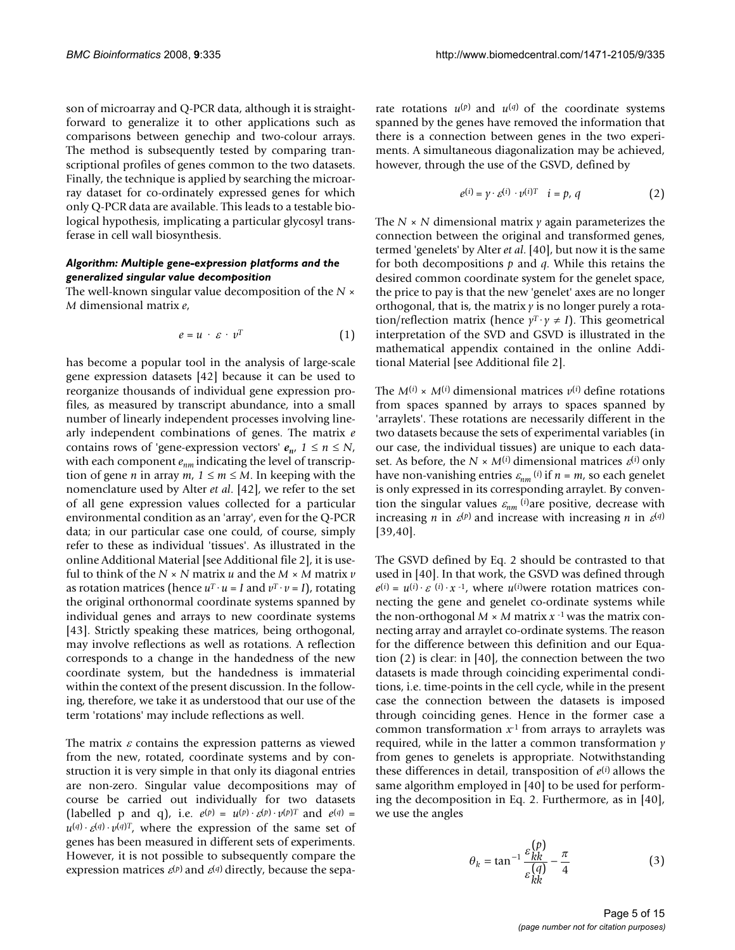son of microarray and Q-PCR data, although it is straightforward to generalize it to other applications such as comparisons between genechip and two-colour arrays. The method is subsequently tested by comparing transcriptional profiles of genes common to the two datasets. Finally, the technique is applied by searching the microarray dataset for co-ordinately expressed genes for which only Q-PCR data are available. This leads to a testable biological hypothesis, implicating a particular glycosyl transferase in cell wall biosynthesis.

#### *Algorithm: Multiple gene-expression platforms and the generalized singular value decomposition*

The well-known singular value decomposition of the *N* × *M* dimensional matrix *e*,

$$
e = u \cdot \varepsilon \cdot v^T \tag{1}
$$

has become a popular tool in the analysis of large-scale gene expression datasets [42] because it can be used to reorganize thousands of individual gene expression profiles, as measured by transcript abundance, into a small number of linearly independent processes involving linearly independent combinations of genes. The matrix *e* contains rows of 'gene-expression vectors'  $e_n$ ,  $1 \le n \le N$ , with each component  $e_{nm}$  indicating the level of transcription of gene *n* in array  $m, 1 \le m \le M$ . In keeping with the nomenclature used by Alter *et al*. [42], we refer to the set of all gene expression values collected for a particular environmental condition as an 'array', even for the Q-PCR data; in our particular case one could, of course, simply refer to these as individual 'tissues'. As illustrated in the online Additional Material [see Additional file 2], it is useful to think of the  $N \times N$  matrix  $u$  and the  $M \times M$  matrix  $v$ as rotation matrices (hence  $u^T \cdot u = I$  and  $v^T \cdot v = I$ ), rotating the original orthonormal coordinate systems spanned by individual genes and arrays to new coordinate systems [43]. Strictly speaking these matrices, being orthogonal, may involve reflections as well as rotations. A reflection corresponds to a change in the handedness of the new coordinate system, but the handedness is immaterial within the context of the present discussion. In the following, therefore, we take it as understood that our use of the term 'rotations' may include reflections as well.

The matrix  $\varepsilon$  contains the expression patterns as viewed from the new, rotated, coordinate systems and by construction it is very simple in that only its diagonal entries are non-zero. Singular value decompositions may of course be carried out individually for two datasets (labelled p and q), i.e.  $e^{(p)} = u^{(p)} \cdot e^{(p)} \cdot v^{(p)T}$  and  $e^{(q)} =$  $u^{(q)} \cdot \varepsilon^{(q)} \cdot v^{(q)T}$ , where the expression of the same set of genes has been measured in different sets of experiments. However, it is not possible to subsequently compare the expression matrices  $\varepsilon^{(p)}$  and  $\varepsilon^{(q)}$  directly, because the separate rotations  $u^{(p)}$  and  $u^{(q)}$  of the coordinate systems spanned by the genes have removed the information that there is a connection between genes in the two experiments. A simultaneous diagonalization may be achieved, however, through the use of the GSVD, defined by

$$
e^{(i)} = \gamma \cdot \varepsilon^{(i)} \cdot v^{(i)T} \quad i = p, q \tag{2}
$$

The *N* × *N* dimensional matrix *y* again parameterizes the connection between the original and transformed genes, termed 'genelets' by Alter *et al*. [40], but now it is the same for both decompositions *p* and *q*. While this retains the desired common coordinate system for the genelet space, the price to pay is that the new 'genelet' axes are no longer orthogonal, that is, the matrix *y* is no longer purely a rotation/reflection matrix (hence  $\gamma^T \cdot \gamma \neq I$ ). This geometrical interpretation of the SVD and GSVD is illustrated in the mathematical appendix contained in the online Additional Material [see Additional file 2].

The  $M^{(i)} \times M^{(i)}$  dimensional matrices  $\nu^{(i)}$  define rotations from spaces spanned by arrays to spaces spanned by 'arraylets'. These rotations are necessarily different in the two datasets because the sets of experimental variables (in our case, the individual tissues) are unique to each dataset. As before, the  $N \times M^{(i)}$  dimensional matrices  $\varepsilon^{(i)}$  only have non-vanishing entries  $\varepsilon_{nm}$ <sup>(*i*</sup>) if  $n = m$ , so each genelet is only expressed in its corresponding arraylet. By convention the singular values  $\varepsilon_{nm}$  <sup>(*i*</sup>)are positive, decrease with increasing *n* in  $\varepsilon^{(p)}$  and increase with increasing *n* in  $\varepsilon^{(q)}$ [39,40].

The GSVD defined by Eq. 2 should be contrasted to that used in [40]. In that work, the GSVD was defined through  $e^{(i)} = u^{(i)} \cdot \varepsilon^{(i)} \cdot x^{-1}$ , where *u*<sup>(*i*</sup>)were rotation matrices connecting the gene and genelet co-ordinate systems while the non-orthogonal  $M \times M$  matrix  $x^{-1}$  was the matrix connecting array and arraylet co-ordinate systems. The reason for the difference between this definition and our Equation (2) is clear: in [40], the connection between the two datasets is made through coinciding experimental conditions, i.e. time-points in the cell cycle, while in the present case the connection between the datasets is imposed through coinciding genes. Hence in the former case a common transformation  $x<sup>-1</sup>$  from arrays to arraylets was required, while in the latter a common transformation *y* from genes to genelets is appropriate. Notwithstanding these differences in detail, transposition of  $e^{(i)}$  allows the same algorithm employed in [40] to be used for performing the decomposition in Eq. 2. Furthermore, as in [40], we use the angles

$$
\theta_k = \tan^{-1} \frac{\varepsilon_{kk}^{(p)}}{\varepsilon_{kk}^{(q)}} - \frac{\pi}{4}
$$
 (3)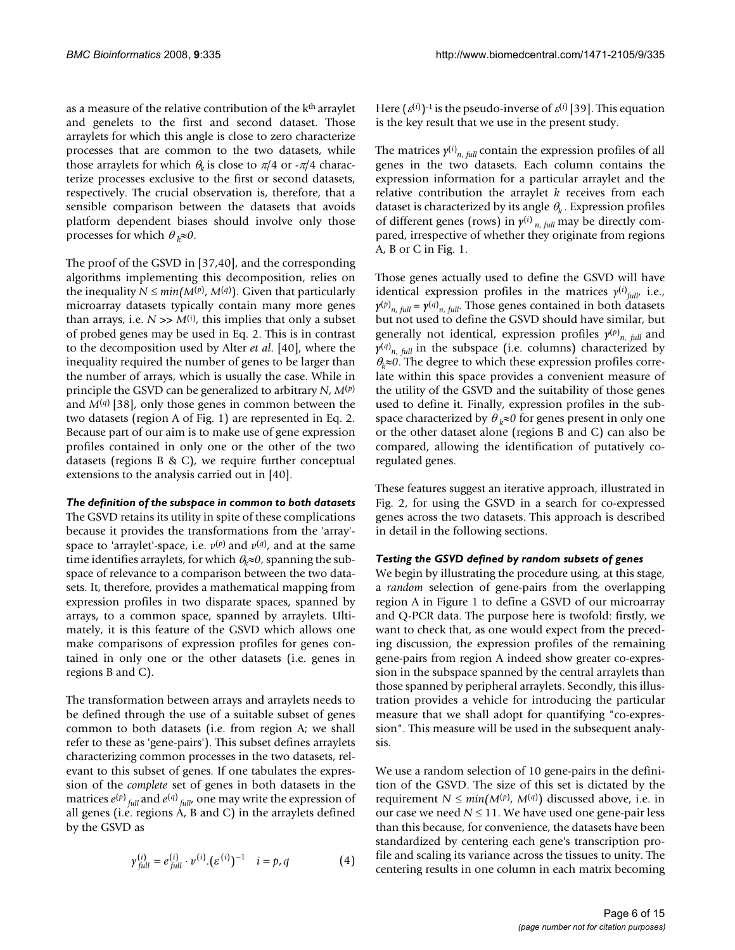as a measure of the relative contribution of the kth arraylet and genelets to the first and second dataset. Those arraylets for which this angle is close to zero characterize processes that are common to the two datasets, while those arraylets for which  $\theta_k$  is close to  $\pi/4$  or  $-\pi/4$  characterize processes exclusive to the first or second datasets, respectively. The crucial observation is, therefore, that a sensible comparison between the datasets that avoids platform dependent biases should involve only those processes for which  $\theta_k \approx 0$ .

The proof of the GSVD in [37,40], and the corresponding algorithms implementing this decomposition, relies on the inequality  $N \leq min(M^{(p)}, M^{(q)})$ . Given that particularly microarray datasets typically contain many more genes than arrays, i.e.  $N \gg M^{(i)}$ , this implies that only a subset of probed genes may be used in Eq. 2. This is in contrast to the decomposition used by Alter *et al*. [40], where the inequality required the number of genes to be larger than the number of arrays, which is usually the case. While in principle the GSVD can be generalized to arbitrary *N*, *M*(*p*) and *M*(*q*) [38], only those genes in common between the two datasets (region A of Fig. 1) are represented in Eq. 2. Because part of our aim is to make use of gene expression profiles contained in only one or the other of the two datasets (regions B & C), we require further conceptual extensions to the analysis carried out in [40].

#### *The definition of the subspace in common to both datasets*

The GSVD retains its utility in spite of these complications because it provides the transformations from the 'array' space to 'arraylet'-space, i.e.  $v^{(p)}$  and  $v^{(q)}$ , and at the same time identifies arraylets, for which  $\theta_k \approx 0$ , spanning the subspace of relevance to a comparison between the two datasets. It, therefore, provides a mathematical mapping from expression profiles in two disparate spaces, spanned by arrays, to a common space, spanned by arraylets. Ultimately, it is this feature of the GSVD which allows one make comparisons of expression profiles for genes contained in only one or the other datasets (i.e. genes in regions B and C).

The transformation between arrays and arraylets needs to be defined through the use of a suitable subset of genes common to both datasets (i.e. from region A; we shall refer to these as 'gene-pairs'). This subset defines arraylets characterizing common processes in the two datasets, relevant to this subset of genes. If one tabulates the expression of the *complete* set of genes in both datasets in the matrices  $e^{(p)}$   $_{full}$  and  $e^{(q)}$   $_{full}$ , one may write the expression of all genes (i.e. regions A, B and C) in the arraylets defined by the GSVD as

$$
\gamma_{full}^{(i)} = e_{full}^{(i)} \cdot \nu^{(i)} \cdot (\varepsilon^{(i)})^{-1} \quad i = p, q \tag{4}
$$

Here  $(\varepsilon^{(i)})$ <sup>-1</sup> is the pseudo-inverse of  $\varepsilon^{(i)}$  [39]. This equation is the key result that we use in the present study.

The matrices  $\gamma^{(i)}$ <sub>n, full</sub> contain the expression profiles of all genes in the two datasets. Each column contains the expression information for a particular arraylet and the relative contribution the arraylet *k* receives from each dataset is characterized by its angle  $\theta_k$ . Expression profiles of different genes (rows) in  $\gamma^{(i)}$  <sub>n, full</sub> may be directly compared, irrespective of whether they originate from regions A, B or C in Fig. 1.

Those genes actually used to define the GSVD will have identical expression profiles in the matrices *y*(*i*) *full*, i.e.,  $\gamma^{(p)}$ <sub>*n*, *full*</sub> =  $\gamma^{(q)}$ <sub>*n*, *full*</sub>. Those genes contained in both datasets but not used to define the GSVD should have similar, but generally not identical, expression profiles *y*(*p*) *<sup>n</sup>*, *full* and  $\gamma^{(q)}$ <sub>n, full</sub> in the subspace (i.e. columns) characterized by <sup>θ</sup>*k*≈*0*. The degree to which these expression profiles correlate within this space provides a convenient measure of the utility of the GSVD and the suitability of those genes used to define it. Finally, expression profiles in the subspace characterized by  $\theta_k \approx 0$  for genes present in only one or the other dataset alone (regions B and C) can also be compared, allowing the identification of putatively coregulated genes.

These features suggest an iterative approach, illustrated in Fig. 2, for using the GSVD in a search for co-expressed genes across the two datasets. This approach is described in detail in the following sections.

## *Testing the GSVD defined by random subsets of genes*

We begin by illustrating the procedure using, at this stage, a *random* selection of gene-pairs from the overlapping region A in Figure 1 to define a GSVD of our microarray and Q-PCR data. The purpose here is twofold: firstly, we want to check that, as one would expect from the preceding discussion, the expression profiles of the remaining gene-pairs from region A indeed show greater co-expression in the subspace spanned by the central arraylets than those spanned by peripheral arraylets. Secondly, this illustration provides a vehicle for introducing the particular measure that we shall adopt for quantifying "co-expression". This measure will be used in the subsequent analysis.

We use a random selection of 10 gene-pairs in the definition of the GSVD. The size of this set is dictated by the requirement  $N \leq min(M^{(p)}, M^{(q)})$  discussed above, i.e. in our case we need  $N \le 11$ . We have used one gene-pair less than this because, for convenience, the datasets have been standardized by centering each gene's transcription profile and scaling its variance across the tissues to unity. The centering results in one column in each matrix becoming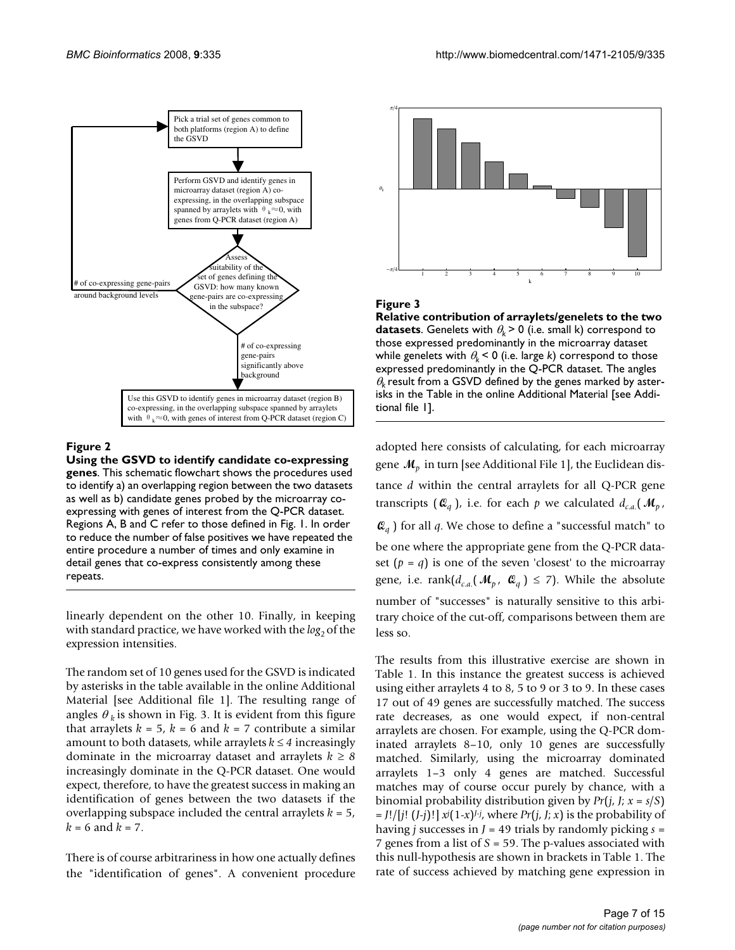

## **Figure 2**

**Using the GSVD to identify candidate co-expressing genes**. This schematic flowchart shows the procedures used to identify a) an overlapping region between the two datasets as well as b) candidate genes probed by the microarray coexpressing with genes of interest from the Q-PCR dataset. Regions A, B and C refer to those defined in Fig. 1. In order to reduce the number of false positives we have repeated the entire procedure a number of times and only examine in detail genes that co-express consistently among these repeats.

linearly dependent on the other 10. Finally, in keeping with standard practice, we have worked with the *log*<sub>2</sub> of the expression intensities.

The random set of 10 genes used for the GSVD is indicated by asterisks in the table available in the online Additional Material [see Additional file 1]. The resulting range of angles  $\theta_k$  is shown in Fig. 3. It is evident from this figure that arraylets  $k = 5$ ,  $k = 6$  and  $k = 7$  contribute a similar amount to both datasets, while arraylets *k* ≤ *4* increasingly dominate in the microarray dataset and arraylets  $k \geq 8$ increasingly dominate in the Q-PCR dataset. One would expect, therefore, to have the greatest success in making an identification of genes between the two datasets if the overlapping subspace included the central arraylets  $k = 5$ ,  $k = 6$  and  $k = 7$ .

There is of course arbitrariness in how one actually defines the "identification of genes". A convenient procedure



## **Figure 3**

**Relative contribution of arraylets/genelets to the two datasets**. Genelets with  $\theta_k > 0$  (i.e. small k) correspond to those expressed predominantly in the microarray dataset while genelets with  $\theta_k$  < 0 (i.e. large *k*) correspond to those expressed predominantly in the Q-PCR dataset. The angles <sup>θ</sup>*k* result from a GSVD defined by the genes marked by asterisks in the Table in the online Additional Material [see Additional file 1].

adopted here consists of calculating, for each microarray gene  $\mathcal{M}_p$  in turn [see Additional File 1], the Euclidean distance *d* within the central arraylets for all Q-PCR gene transcripts  $({\mathcal Q}_q)$ , i.e. for each  $p$  we calculated  $d_{c.a.}(\mathcal{M}_p)$ ,  $\mathcal{Q}_q$  ) for all *q*. We chose to define a "successful match" to be one where the appropriate gene from the Q-PCR dataset  $(p = q)$  is one of the seven 'closest' to the microarray gene, i.e.  $\text{rank}(d_{c.a.}(\mathcal{M}_p, \mathcal{Q}_q) \leq 7)$ . While the absolute number of "successes" is naturally sensitive to this arbitrary choice of the cut-off, comparisons between them are less so.

The results from this illustrative exercise are shown in Table 1. In this instance the greatest success is achieved using either arraylets 4 to 8, 5 to 9 or 3 to 9. In these cases 17 out of 49 genes are successfully matched. The success rate decreases, as one would expect, if non-central arraylets are chosen. For example, using the Q-PCR dominated arraylets 8–10, only 10 genes are successfully matched. Similarly, using the microarray dominated arraylets 1–3 only 4 genes are matched. Successful matches may of course occur purely by chance, with a binomial probability distribution given by *Pr*(*j*, *J*; *x* = *s*/*S*) = *J*!/[*j*! (*J*-*j*)!] *xj* (1-*x*)*<sup>J</sup>*-*<sup>j</sup>* , where *Pr*(*j*, *J*; *x*) is the probability of having *j* successes in *J* = 49 trials by randomly picking *s* = 7 genes from a list of *S* = 59. The p-values associated with this null-hypothesis are shown in brackets in Table 1. The rate of success achieved by matching gene expression in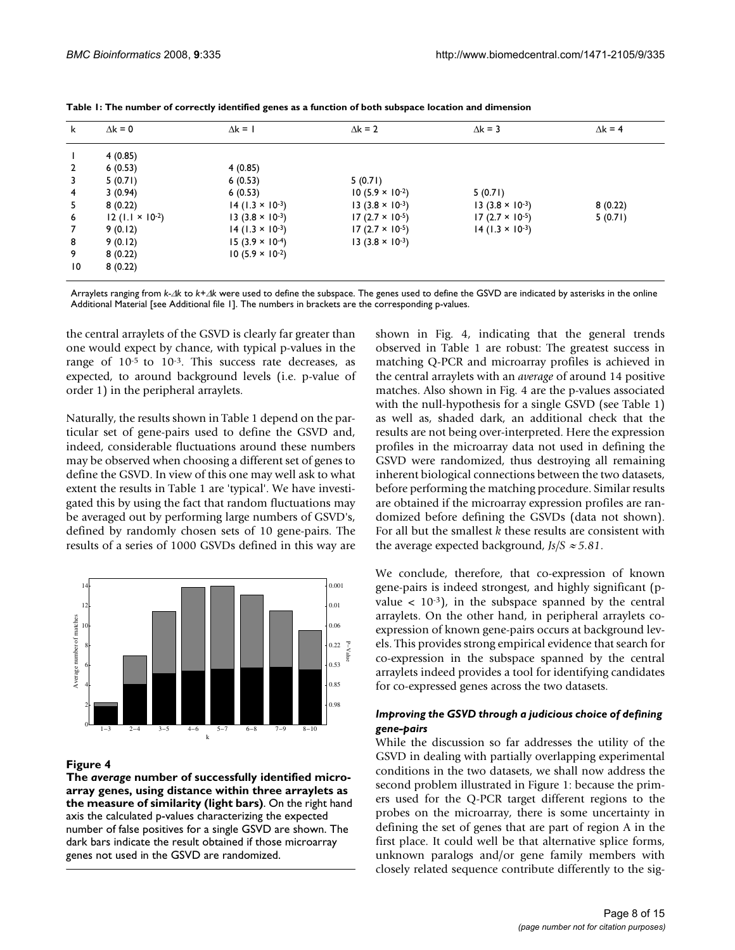| k               | $\Delta k = 0$           | $\Delta k = 1$           | $\Delta k = 2$           | $\Delta k = 3$                        | $\Delta$ k = 4 |
|-----------------|--------------------------|--------------------------|--------------------------|---------------------------------------|----------------|
|                 | 4(0.85)                  |                          |                          |                                       |                |
| $\overline{2}$  | 6(0.53)                  | 4(0.85)                  |                          |                                       |                |
| 3               | 5(0.71)                  | 6(0.53)                  | 5(0.71)                  |                                       |                |
| $\overline{4}$  | 3(0.94)                  | 6(0.53)                  | $10(5.9 \times 10^{-2})$ | 5(0.71)                               |                |
| 5               | 8(0.22)                  | $14(1.3 \times 10^{-3})$ | $13(3.8 \times 10^{-3})$ | $13(3.8 \times 10^{-3})$              | 8(0.22)        |
| 6               | $12$ (1.1 $\times$ 10-2) | $13(3.8 \times 10^{-3})$ | $17(2.7 \times 10^{-5})$ | $17(2.7 \times 10^{-5})$              | 5(0.71)        |
| $\overline{7}$  | 9(0.12)                  | $14(1.3 \times 10^{-3})$ | $17(2.7 \times 10^{-5})$ | $14$ (1.3 $\times$ 10 <sup>-3</sup> ) |                |
| 8               | 9(0.12)                  | $15(3.9 \times 10^{-4})$ | $13(3.8 \times 10^{-3})$ |                                       |                |
| 9               | 8(0.22)                  | $10(5.9 \times 10^{-2})$ |                          |                                       |                |
| $\overline{10}$ | 8(0.22)                  |                          |                          |                                       |                |

**Table 1: The number of correctly identified genes as a function of both subspace location and dimension**

Arraylets ranging from *k-*Δ*k* to *k+*Δ*k* were used to define the subspace. The genes used to define the GSVD are indicated by asterisks in the online Additional Material [see Additional file 1]. The numbers in brackets are the corresponding p-values.

the central arraylets of the GSVD is clearly far greater than one would expect by chance, with typical p-values in the range of 10-5 to 10-3. This success rate decreases, as expected, to around background levels (i.e. p-value of order 1) in the peripheral arraylets.

Naturally, the results shown in Table 1 depend on the particular set of gene-pairs used to define the GSVD and, indeed, considerable fluctuations around these numbers may be observed when choosing a different set of genes to define the GSVD. In view of this one may well ask to what extent the results in Table 1 are 'typical'. We have investigated this by using the fact that random fluctuations may be averaged out by performing large numbers of GSVD's, defined by randomly chosen sets of 10 gene-pairs. The results of a series of 1000 GSVDs defined in this way are



#### Figure 4

**The** *average* **number of successfully identified microarray genes, using distance within three arraylets as the measure of similarity (light bars)**. On the right hand axis the calculated p-values characterizing the expected number of false positives for a single GSVD are shown. The dark bars indicate the result obtained if those microarray genes not used in the GSVD are randomized.

shown in Fig. 4, indicating that the general trends observed in Table 1 are robust: The greatest success in matching Q-PCR and microarray profiles is achieved in the central arraylets with an *average* of around 14 positive matches. Also shown in Fig. 4 are the p-values associated with the null-hypothesis for a single GSVD (see Table 1) as well as, shaded dark, an additional check that the results are not being over-interpreted. Here the expression profiles in the microarray data not used in defining the GSVD were randomized, thus destroying all remaining inherent biological connections between the two datasets, before performing the matching procedure. Similar results are obtained if the microarray expression profiles are randomized before defining the GSVDs (data not shown). For all but the smallest *k* these results are consistent with the average expected background, *Js/S* ≈ *5.81*.

We conclude, therefore, that co-expression of known gene-pairs is indeed strongest, and highly significant (pvalue  $< 10^{-3}$ ), in the subspace spanned by the central arraylets. On the other hand, in peripheral arraylets coexpression of known gene-pairs occurs at background levels. This provides strong empirical evidence that search for co-expression in the subspace spanned by the central arraylets indeed provides a tool for identifying candidates for co-expressed genes across the two datasets.

## *Improving the GSVD through a judicious choice of defining gene-pairs*

While the discussion so far addresses the utility of the GSVD in dealing with partially overlapping experimental conditions in the two datasets, we shall now address the second problem illustrated in Figure 1: because the primers used for the Q-PCR target different regions to the probes on the microarray, there is some uncertainty in defining the set of genes that are part of region A in the first place. It could well be that alternative splice forms, unknown paralogs and/or gene family members with closely related sequence contribute differently to the sig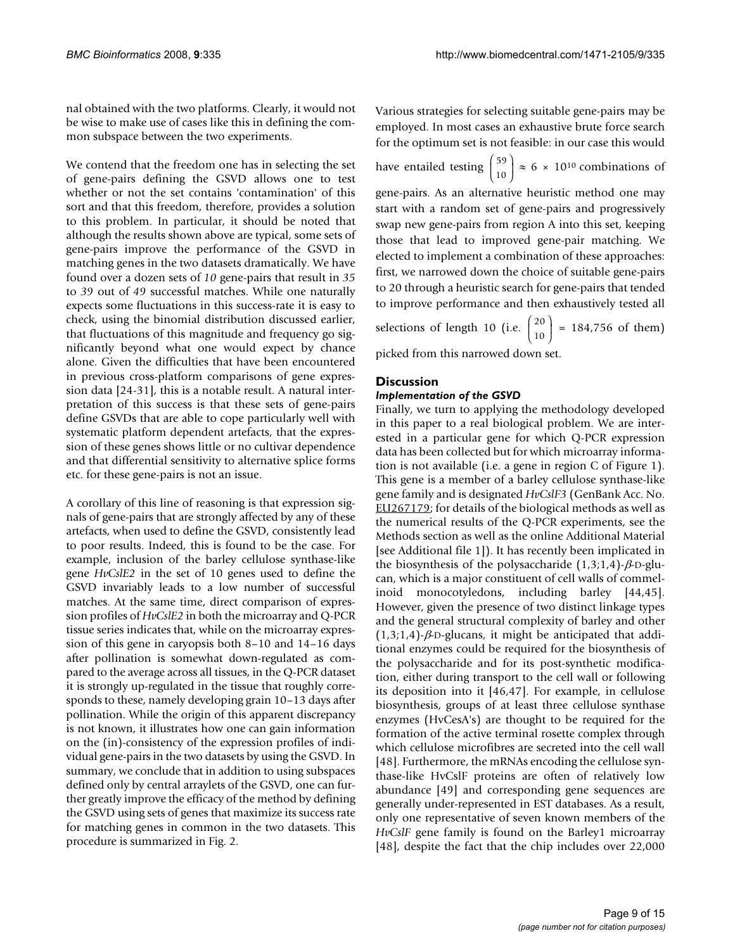nal obtained with the two platforms. Clearly, it would not be wise to make use of cases like this in defining the common subspace between the two experiments.

We contend that the freedom one has in selecting the set of gene-pairs defining the GSVD allows one to test whether or not the set contains 'contamination' of this sort and that this freedom, therefore, provides a solution to this problem. In particular, it should be noted that although the results shown above are typical, some sets of gene-pairs improve the performance of the GSVD in matching genes in the two datasets dramatically. We have found over a dozen sets of *10* gene-pairs that result in *35* to *39* out of *49* successful matches. While one naturally expects some fluctuations in this success-rate it is easy to check, using the binomial distribution discussed earlier, that fluctuations of this magnitude and frequency go significantly beyond what one would expect by chance alone. Given the difficulties that have been encountered in previous cross-platform comparisons of gene expression data [24-31], this is a notable result. A natural interpretation of this success is that these sets of gene-pairs define GSVDs that are able to cope particularly well with systematic platform dependent artefacts, that the expression of these genes shows little or no cultivar dependence and that differential sensitivity to alternative splice forms etc. for these gene-pairs is not an issue.

A corollary of this line of reasoning is that expression signals of gene-pairs that are strongly affected by any of these artefacts, when used to define the GSVD, consistently lead to poor results. Indeed, this is found to be the case. For example, inclusion of the barley cellulose synthase-like gene *HvCslE2* in the set of 10 genes used to define the GSVD invariably leads to a low number of successful matches. At the same time, direct comparison of expression profiles of *HvCslE2* in both the microarray and Q-PCR tissue series indicates that, while on the microarray expression of this gene in caryopsis both 8–10 and 14–16 days after pollination is somewhat down-regulated as compared to the average across all tissues, in the Q-PCR dataset it is strongly up-regulated in the tissue that roughly corresponds to these, namely developing grain 10–13 days after pollination. While the origin of this apparent discrepancy is not known, it illustrates how one can gain information on the (in)-consistency of the expression profiles of individual gene-pairs in the two datasets by using the GSVD. In summary, we conclude that in addition to using subspaces defined only by central arraylets of the GSVD, one can further greatly improve the efficacy of the method by defining the GSVD using sets of genes that maximize its success rate for matching genes in common in the two datasets. This procedure is summarized in Fig. 2.

Various strategies for selecting suitable gene-pairs may be employed. In most cases an exhaustive brute force search for the optimum set is not feasible: in our case this would

have entailed testing  $\binom{59}{10} \approx 6 \times 10^{10}$  combinations of gene-pairs. As an alternative heuristic method one may start with a random set of gene-pairs and progressively swap new gene-pairs from region A into this set, keeping those that lead to improved gene-pair matching. We elected to implement a combination of these approaches: first, we narrowed down the choice of suitable gene-pairs to 20 through a heuristic search for gene-pairs that tended to improve performance and then exhaustively tested all selections of length 10 (i.e.  $\begin{pmatrix} 20 \\ 10 \end{pmatrix}$  = 184,756 of them) 10 ⎛  $\left(\frac{59}{10}\right)$ 10 ⎛  $\left(\begin{array}{c} 20 \\ 10 \end{array}\right)$ 

picked from this narrowed down set.

## **Discussion**

## *Implementation of the GSVD*

Finally, we turn to applying the methodology developed in this paper to a real biological problem. We are interested in a particular gene for which Q-PCR expression data has been collected but for which microarray information is not available (i.e. a gene in region C of Figure 1). This gene is a member of a barley cellulose synthase-like gene family and is designated *HvCslF3* (GenBank Acc. No. [EU267179](http://www.ncbi.nih.gov/entrez/query.fcgi?db=Nucleotide&cmd=search&term=EU267179); for details of the biological methods as well as the numerical results of the Q-PCR experiments, see the Methods section as well as the online Additional Material [see Additional file 1]). It has recently been implicated in the biosynthesis of the polysaccharide  $(1,3;1,4)$ - $\beta$ -D-glucan, which is a major constituent of cell walls of commelinoid monocotyledons, including barley [44[,45](#page-14-0)]. However, given the presence of two distinct linkage types and the general structural complexity of barley and other  $(1,3;1,4)$ - $\beta$ -D-glucans, it might be anticipated that additional enzymes could be required for the biosynthesis of the polysaccharide and for its post-synthetic modification, either during transport to the cell wall or following its deposition into it [46,47]. For example, in cellulose biosynthesis, groups of at least three cellulose synthase enzymes (HvCesA's) are thought to be required for the formation of the active terminal rosette complex through which cellulose microfibres are secreted into the cell wall [48]. Furthermore, the mRNAs encoding the cellulose synthase-like HvCslF proteins are often of relatively low abundance [49] and corresponding gene sequences are generally under-represented in EST databases. As a result, only one representative of seven known members of the *HvCslF* gene family is found on the Barley1 microarray [48], despite the fact that the chip includes over 22,000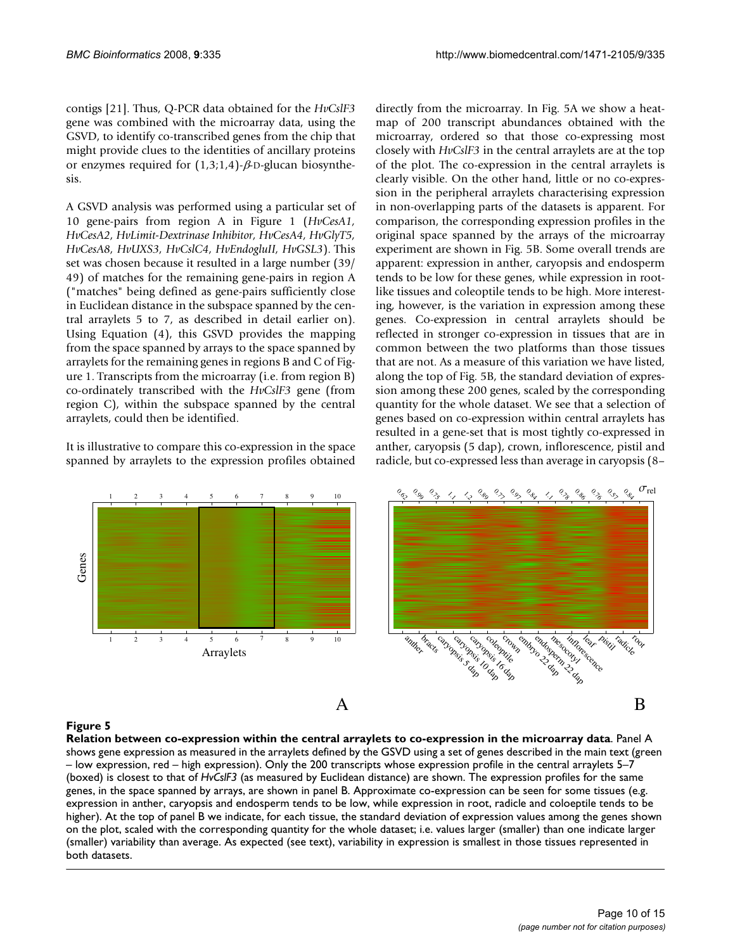contigs [21]. Thus, Q-PCR data obtained for the *HvCslF3* gene was combined with the microarray data, using the GSVD, to identify co-transcribed genes from the chip that might provide clues to the identities of ancillary proteins or enzymes required for (1,3;1,4)-β-D-glucan biosynthesis.

A GSVD analysis was performed using a particular set of 10 gene-pairs from region A in Figure 1 (*HvCesA1, HvCesA2, HvLimit-Dextrinase Inhibitor, HvCesA4, HvGlyT5, HvCesA8, HvUXS3, HvCslC4, HvEndogluII, HvGSL3*). This set was chosen because it resulted in a large number (39/ 49) of matches for the remaining gene-pairs in region A ("matches" being defined as gene-pairs sufficiently close in Euclidean distance in the subspace spanned by the central arraylets 5 to 7, as described in detail earlier on). Using Equation (4), this GSVD provides the mapping from the space spanned by arrays to the space spanned by arraylets for the remaining genes in regions B and C of Figure 1. Transcripts from the microarray (i.e. from region B) co-ordinately transcribed with the *HvCslF3* gene (from region C), within the subspace spanned by the central arraylets, could then be identified.

It is illustrative to compare this co-expression in the space spanned by arraylets to the expression profiles obtained

directly from the microarray. In Fig. 5A we show a heatmap of 200 transcript abundances obtained with the microarray, ordered so that those co-expressing most closely with *HvCslF3* in the central arraylets are at the top of the plot. The co-expression in the central arraylets is clearly visible. On the other hand, little or no co-expression in the peripheral arraylets characterising expression in non-overlapping parts of the datasets is apparent. For comparison, the corresponding expression profiles in the original space spanned by the arrays of the microarray experiment are shown in Fig. 5B. Some overall trends are apparent: expression in anther, caryopsis and endosperm tends to be low for these genes, while expression in rootlike tissues and coleoptile tends to be high. More interesting, however, is the variation in expression among these genes. Co-expression in central arraylets should be reflected in stronger co-expression in tissues that are in common between the two platforms than those tissues that are not. As a measure of this variation we have listed, along the top of Fig. 5B, the standard deviation of expression among these 200 genes, scaled by the corresponding quantity for the whole dataset. We see that a selection of genes based on co-expression within central arraylets has resulted in a gene-set that is most tightly co-expressed in anther, caryopsis (5 dap), crown, inflorescence, pistil and radicle, but co-expressed less than average in caryopsis (8–



## Relation between co-expression wi **Figure 5** thin the central arraylets to co-expression in the microarray data

**Relation between co-expression within the central arraylets to co-expression in the microarray data**. Panel A shows gene expression as measured in the arraylets defined by the GSVD using a set of genes described in the main text (green – low expression, red – high expression). Only the 200 transcripts whose expression profile in the central arraylets 5–7 (boxed) is closest to that of *HvCslF3* (as measured by Euclidean distance) are shown. The expression profiles for the same genes, in the space spanned by arrays, are shown in panel B. Approximate co-expression can be seen for some tissues (e.g. expression in anther, caryopsis and endosperm tends to be low, while expression in root, radicle and coloeptile tends to be higher). At the top of panel B we indicate, for each tissue, the standard deviation of expression values among the genes shown on the plot, scaled with the corresponding quantity for the whole dataset; i.e. values larger (smaller) than one indicate larger (smaller) variability than average. As expected (see text), variability in expression is smallest in those tissues represented in both datasets.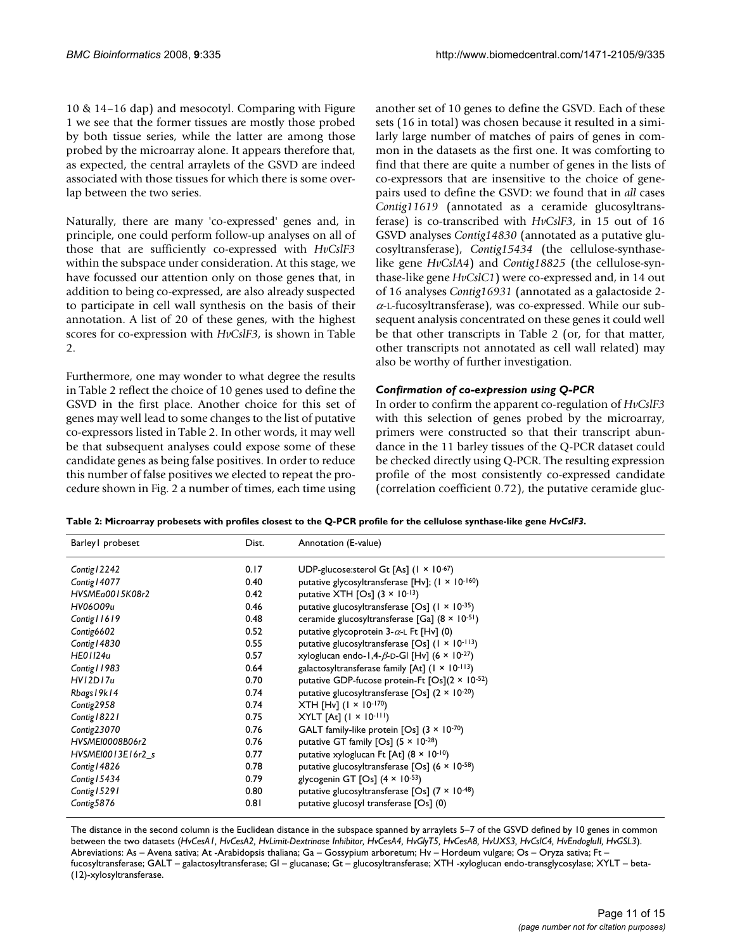10 & 14–16 dap) and mesocotyl. Comparing with Figure 1 we see that the former tissues are mostly those probed by both tissue series, while the latter are among those probed by the microarray alone. It appears therefore that, as expected, the central arraylets of the GSVD are indeed associated with those tissues for which there is some overlap between the two series.

Naturally, there are many 'co-expressed' genes and, in principle, one could perform follow-up analyses on all of those that are sufficiently co-expressed with *HvCslF3* within the subspace under consideration. At this stage, we have focussed our attention only on those genes that, in addition to being co-expressed, are also already suspected to participate in cell wall synthesis on the basis of their annotation. A list of 20 of these genes, with the highest scores for co-expression with *HvCslF3*, is shown in Table  $2.$ 

Furthermore, one may wonder to what degree the results in Table 2 reflect the choice of 10 genes used to define the GSVD in the first place. Another choice for this set of genes may well lead to some changes to the list of putative co-expressors listed in Table 2. In other words, it may well be that subsequent analyses could expose some of these candidate genes as being false positives. In order to reduce this number of false positives we elected to repeat the procedure shown in Fig. 2 a number of times, each time using another set of 10 genes to define the GSVD. Each of these sets (16 in total) was chosen because it resulted in a similarly large number of matches of pairs of genes in common in the datasets as the first one. It was comforting to find that there are quite a number of genes in the lists of co-expressors that are insensitive to the choice of genepairs used to define the GSVD: we found that in *all* cases *Contig11619* (annotated as a ceramide glucosyltransferase) is co-transcribed with *HvCslF3*, in 15 out of 16 GSVD analyses *Contig14830* (annotated as a putative glucosyltransferase), *Contig15434* (the cellulose-synthaselike gene *HvCslA4*) and *Contig18825* (the cellulose-synthase-like gene *HvCslC1*) were co-expressed and, in 14 out of 16 analyses *Contig16931* (annotated as a galactoside 2-  $\alpha$ -L-fucosyltransferase), was co-expressed. While our subsequent analysis concentrated on these genes it could well be that other transcripts in Table 2 (or, for that matter, other transcripts not annotated as cell wall related) may also be worthy of further investigation.

## *Confirmation of co-expression using Q-PCR*

In order to confirm the apparent co-regulation of *HvCslF3* with this selection of genes probed by the microarray, primers were constructed so that their transcript abundance in the 11 barley tissues of the Q-PCR dataset could be checked directly using Q-PCR. The resulting expression profile of the most consistently co-expressed candidate (correlation coefficient 0.72), the putative ceramide gluc-

| Barley I probeset | Dist. | Annotation (E-value)                                              |
|-------------------|-------|-------------------------------------------------------------------|
| Contig I 2242     | 0.17  | UDP-glucose: sterol Gt [As] (1 × 10-67)                           |
| Contig 14077      | 0.40  | putative glycosyltransferase [Hv]; $(1 \times 10^{-160})$         |
| HVSMEa0015K08r2   | 0.42  | putative XTH [Os] $(3 \times 10^{-13})$                           |
| HV06O09u          | 0.46  | putative glucosyltransferase $[Os]$ (1 × 10-35)                   |
| Contig   1619     | 0.48  | ceramide glucosyltransferase [Ga] (8 × 10-51)                     |
| Contig6602        | 0.52  | putative glycoprotein $3-\alpha$ -L Ft [Hv] (0)                   |
| Contig I 4830     | 0.55  | putative glucosyltransferase $[Os]$ (1 $\times$ 10-113)           |
| HE01124u          | 0.57  | xyloglucan endo-1,4- $\beta$ -D-Gl [Hv] (6 × 10-27)               |
| Contig I 1983     | 0.64  | galactosyltransferase family $[At]$ ( $  \times  0^{-13} \rangle$ |
| HVI2DI7u          | 0.70  | putative GDP-fucose protein-Ft [Os](2 × 10-52)                    |
| Rbags   9k   4    | 0.74  | putative glucosyltransferase $[Os]$ (2 $\times$ 10-20)            |
| Contig2958        | 0.74  | $XTH$ [Hv] $(1 \times 10^{-170})$                                 |
| Contig 18221      | 0.75  | $XYLT$ [At] $(1 \times 10^{-111})$                                |
| Contig23070       | 0.76  | GALT family-like protein [Os] (3 × 10-70)                         |
| HVSMEI0008B06r2   | 0.76  | putative GT family $[Os]$ (5 $\times$ 10 <sup>-28</sup> )         |
| HVSMEI0013E16r2 s | 0.77  | putative xyloglucan Ft [At] $(8 \times 10^{-10})$                 |
| Contig I 4826     | 0.78  | putative glucosyltransferase [Os] $(6 \times 10^{-58})$           |
| Contig 15434      | 0.79  | glycogenin GT [Os] $(4 \times 10^{-53})$                          |
| Contig 15291      | 0.80  | putative glucosyltransferase [Os] $(7 \times 10^{-48})$           |
| Contig5876        | 0.81  | putative glucosyl transferase [Os] (0)                            |

The distance in the second column is the Euclidean distance in the subspace spanned by arraylets 5–7 of the GSVD defined by 10 genes in common between the two datasets (*HvCesA1, HvCesA2, HvLimit-Dextrinase Inhibitor, HvCesA4, HvGlyT5, HvCesA8, HvUXS3, HvCslC4, HvEndogluII, HvGSL3*). Abreviations: As – Avena sativa; At -Arabidopsis thaliana; Ga – Gossypium arboretum; Hv – Hordeum vulgare; Os – Oryza sativa; Ft – fucosyltransferase; GALT – galactosyltransferase; Gl – glucanase; Gt – glucosyltransferase; XTH -xyloglucan endo-transglycosylase; XYLT – beta- (12)-xylosyltransferase.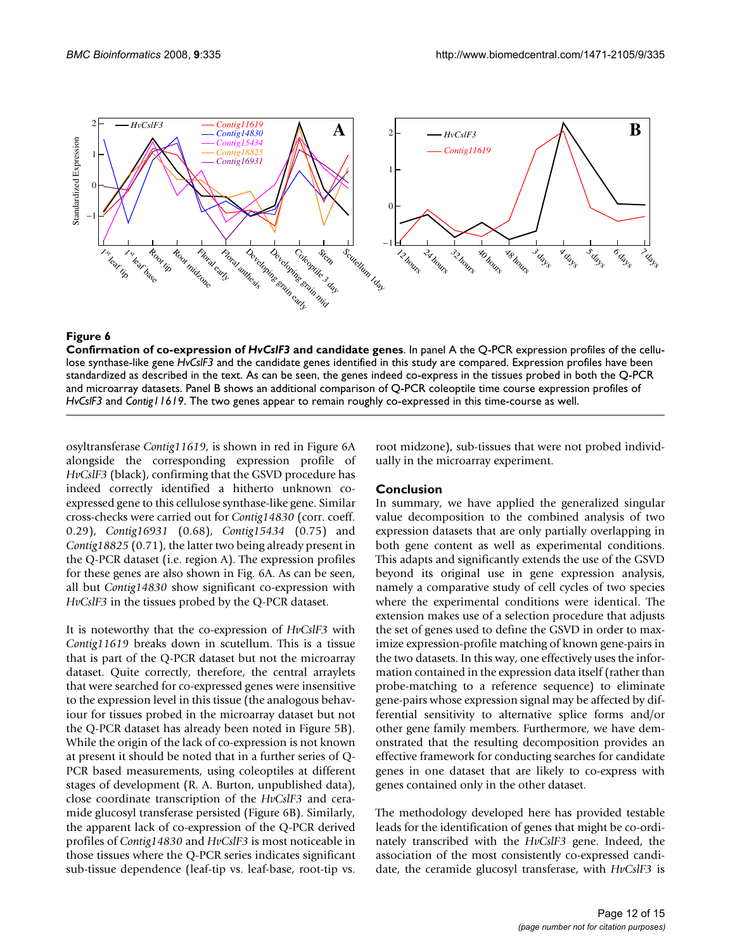

## Figure 6

**Confirmation of co-expression of** *HvCslF3* **and candidate genes**. In panel A the Q-PCR expression profiles of the cellulose synthase-like gene *HvCslF3* and the candidate genes identified in this study are compared. Expression profiles have been standardized as described in the text. As can be seen, the genes indeed co-express in the tissues probed in both the Q-PCR and microarray datasets. Panel B shows an additional comparison of Q-PCR coleoptile time course expression profiles of *HvCslF3* and *Contig11619*. The two genes appear to remain roughly co-expressed in this time-course as well.

osyltransferase *Contig11619*, is shown in red in Figure 6A alongside the corresponding expression profile of *HvCslF3* (black), confirming that the GSVD procedure has indeed correctly identified a hitherto unknown coexpressed gene to this cellulose synthase-like gene. Similar cross-checks were carried out for *Contig14830* (corr. coeff. 0.29), *Contig16931* (0.68), *Contig15434* (0.75) and *Contig18825* (0.71), the latter two being already present in the Q-PCR dataset (i.e. region A). The expression profiles for these genes are also shown in Fig. 6A. As can be seen, all but *Contig14830* show significant co-expression with *HvCslF3* in the tissues probed by the Q-PCR dataset.

It is noteworthy that the co-expression of *HvCslF3* with *Contig11619* breaks down in scutellum. This is a tissue that is part of the Q-PCR dataset but not the microarray dataset. Quite correctly, therefore, the central arraylets that were searched for co-expressed genes were insensitive to the expression level in this tissue (the analogous behaviour for tissues probed in the microarray dataset but not the Q-PCR dataset has already been noted in Figure 5B). While the origin of the lack of co-expression is not known at present it should be noted that in a further series of Q-PCR based measurements, using coleoptiles at different stages of development (R. A. Burton, unpublished data), close coordinate transcription of the *HvCslF3* and ceramide glucosyl transferase persisted (Figure 6B). Similarly, the apparent lack of co-expression of the Q-PCR derived profiles of *Contig14830* and *HvCslF3* is most noticeable in those tissues where the Q-PCR series indicates significant sub-tissue dependence (leaf-tip vs. leaf-base, root-tip vs.

root midzone), sub-tissues that were not probed individually in the microarray experiment.

## **Conclusion**

In summary, we have applied the generalized singular value decomposition to the combined analysis of two expression datasets that are only partially overlapping in both gene content as well as experimental conditions. This adapts and significantly extends the use of the GSVD beyond its original use in gene expression analysis, namely a comparative study of cell cycles of two species where the experimental conditions were identical. The extension makes use of a selection procedure that adjusts the set of genes used to define the GSVD in order to maximize expression-profile matching of known gene-pairs in the two datasets. In this way, one effectively uses the information contained in the expression data itself (rather than probe-matching to a reference sequence) to eliminate gene-pairs whose expression signal may be affected by differential sensitivity to alternative splice forms and/or other gene family members. Furthermore, we have demonstrated that the resulting decomposition provides an effective framework for conducting searches for candidate genes in one dataset that are likely to co-express with genes contained only in the other dataset.

The methodology developed here has provided testable leads for the identification of genes that might be co-ordinately transcribed with the *HvCslF3* gene. Indeed, the association of the most consistently co-expressed candidate, the ceramide glucosyl transferase, with *HvCslF3* is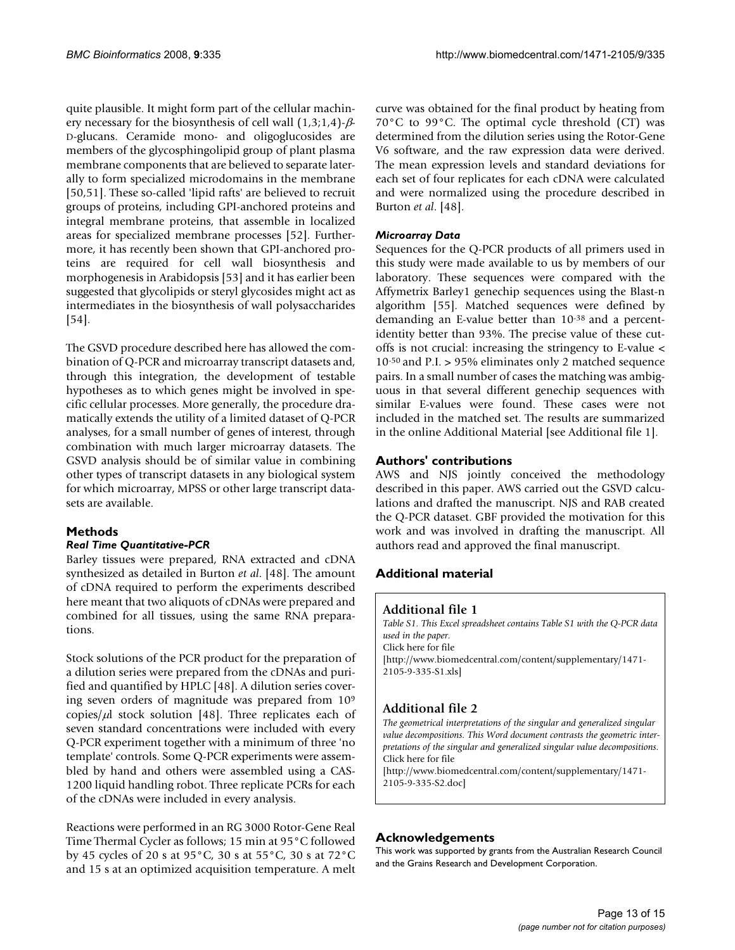quite plausible. It might form part of the cellular machinery necessary for the biosynthesis of cell wall (1,3;1,4)-β-D-glucans. Ceramide mono- and oligoglucosides are members of the glycosphingolipid group of plant plasma membrane components that are believed to separate laterally to form specialized microdomains in the membrane [50,51]. These so-called 'lipid rafts' are believed to recruit groups of proteins, including GPI-anchored proteins and integral membrane proteins, that assemble in localized areas for specialized membrane processes [52]. Furthermore, it has recently been shown that GPI-anchored proteins are required for cell wall biosynthesis and morphogenesis in Arabidopsis [53] and it has earlier been suggested that glycolipids or steryl glycosides might act as intermediates in the biosynthesis of wall polysaccharides [54].

The GSVD procedure described here has allowed the combination of Q-PCR and microarray transcript datasets and, through this integration, the development of testable hypotheses as to which genes might be involved in specific cellular processes. More generally, the procedure dramatically extends the utility of a limited dataset of Q-PCR analyses, for a small number of genes of interest, through combination with much larger microarray datasets. The GSVD analysis should be of similar value in combining other types of transcript datasets in any biological system for which microarray, MPSS or other large transcript datasets are available.

## **Methods**

## *Real Time Quantitative-PCR*

Barley tissues were prepared, RNA extracted and cDNA synthesized as detailed in Burton *et al*. [48]. The amount of cDNA required to perform the experiments described here meant that two aliquots of cDNAs were prepared and combined for all tissues, using the same RNA preparations.

Stock solutions of the PCR product for the preparation of a dilution series were prepared from the cDNAs and purified and quantified by HPLC [48]. A dilution series covering seven orders of magnitude was prepared from 109 copies/ $\mu$ l stock solution [48]. Three replicates each of seven standard concentrations were included with every Q-PCR experiment together with a minimum of three 'no template' controls. Some Q-PCR experiments were assembled by hand and others were assembled using a CAS-1200 liquid handling robot. Three replicate PCRs for each of the cDNAs were included in every analysis.

Reactions were performed in an RG 3000 Rotor-Gene Real Time Thermal Cycler as follows; 15 min at 95°C followed by 45 cycles of 20 s at 95°C, 30 s at 55°C, 30 s at 72°C and 15 s at an optimized acquisition temperature. A melt curve was obtained for the final product by heating from 70°C to 99°C. The optimal cycle threshold (CT) was determined from the dilution series using the Rotor-Gene V6 software, and the raw expression data were derived. The mean expression levels and standard deviations for each set of four replicates for each cDNA were calculated and were normalized using the procedure described in Burton *et al*. [48].

## *Microarray Data*

Sequences for the Q-PCR products of all primers used in this study were made available to us by members of our laboratory. These sequences were compared with the Affymetrix Barley1 genechip sequences using the Blast-n algorithm [55]. Matched sequences were defined by demanding an E-value better than 10-38 and a percentidentity better than 93%. The precise value of these cutoffs is not crucial: increasing the stringency to E-value < 10-50 and P.I. > 95% eliminates only 2 matched sequence pairs. In a small number of cases the matching was ambiguous in that several different genechip sequences with similar E-values were found. These cases were not included in the matched set. The results are summarized in the online Additional Material [see Additional file 1].

## **Authors' contributions**

AWS and NJS jointly conceived the methodology described in this paper. AWS carried out the GSVD calculations and drafted the manuscript. NJS and RAB created the Q-PCR dataset. GBF provided the motivation for this work and was involved in drafting the manuscript. All authors read and approved the final manuscript.

## **Additional material**

## **Additional file 1**

*Table S1. This Excel spreadsheet contains Table S1 with the Q-PCR data used in the paper.* Click here for file [\[http://www.biomedcentral.com/content/supplementary/1471-](http://www.biomedcentral.com/content/supplementary/1471-2105-9-335-S1.xls) 2105-9-335-S1.xls]

## **Additional file 2**

*The geometrical interpretations of the singular and generalized singular value decompositions. This Word document contrasts the geometric interpretations of the singular and generalized singular value decompositions.* Click here for file [\[http://www.biomedcentral.com/content/supplementary/1471-](http://www.biomedcentral.com/content/supplementary/1471-2105-9-335-S2.doc)

2105-9-335-S2.doc]

## **Acknowledgements**

This work was supported by grants from the Australian Research Council and the Grains Research and Development Corporation.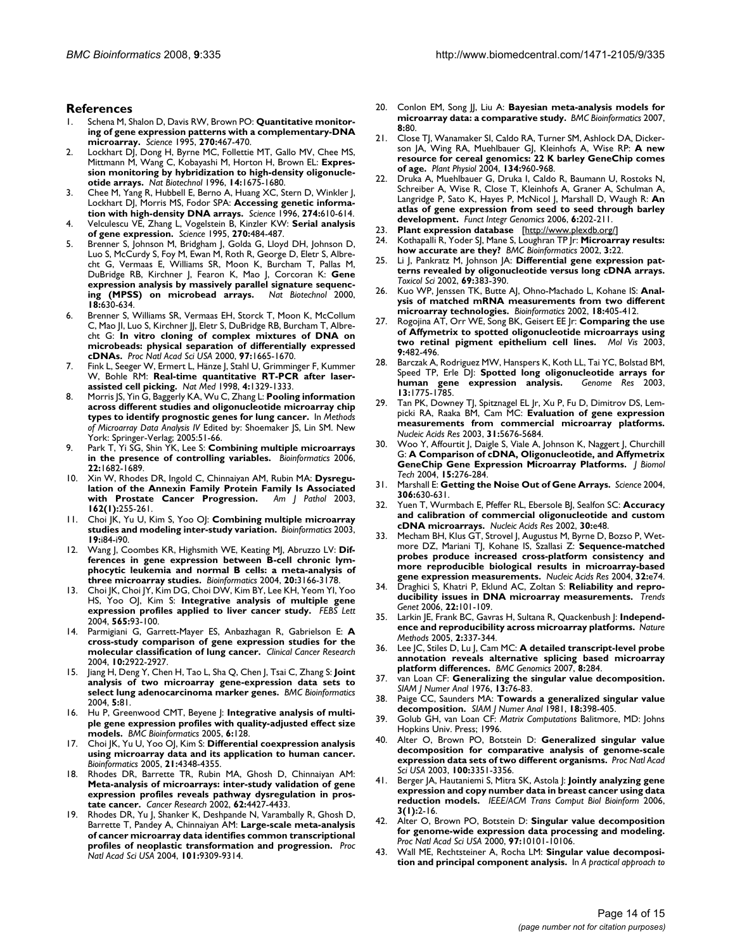#### **References**

- Schena M, Shalon D, Davis RW, Brown PO: **[Quantitative monitor](http://www.ncbi.nlm.nih.gov/entrez/query.fcgi?cmd=Retrieve&db=PubMed&dopt=Abstract&list_uids=7569999)[ing of gene expression patterns with a complementary-DNA](http://www.ncbi.nlm.nih.gov/entrez/query.fcgi?cmd=Retrieve&db=PubMed&dopt=Abstract&list_uids=7569999) [microarray.](http://www.ncbi.nlm.nih.gov/entrez/query.fcgi?cmd=Retrieve&db=PubMed&dopt=Abstract&list_uids=7569999)** *Science* 1995, **270:**467-470.
- 2. Lockhart DJ, Dong H, Byrne MC, Follettie MT, Gallo MV, Chee MS, Mittmann M, Wang C, Kobayashi M, Horton H, Brown EL: **[Expres](http://www.ncbi.nlm.nih.gov/entrez/query.fcgi?cmd=Retrieve&db=PubMed&dopt=Abstract&list_uids=9634850)[sion monitoring by hybridization to high-density oligonucle](http://www.ncbi.nlm.nih.gov/entrez/query.fcgi?cmd=Retrieve&db=PubMed&dopt=Abstract&list_uids=9634850)[otide arrays.](http://www.ncbi.nlm.nih.gov/entrez/query.fcgi?cmd=Retrieve&db=PubMed&dopt=Abstract&list_uids=9634850)** *Nat Biotechnol* 1996, **14:**1675-1680.
- Chee M, Yang R, Hubbell E, Berno A, Huang XC, Stern D, Winkler J, Lockhart DJ, Morris MS, Fodor SPA: **[Accessing genetic informa](http://www.ncbi.nlm.nih.gov/entrez/query.fcgi?cmd=Retrieve&db=PubMed&dopt=Abstract&list_uids=8849452)[tion with high-density DNA arrays.](http://www.ncbi.nlm.nih.gov/entrez/query.fcgi?cmd=Retrieve&db=PubMed&dopt=Abstract&list_uids=8849452)** *Science* 1996, **274:**610-614.
- 4. Velculescu VE, Zhang L, Vogelstein B, Kinzler KW: **[Serial analysis](http://www.ncbi.nlm.nih.gov/entrez/query.fcgi?cmd=Retrieve&db=PubMed&dopt=Abstract&list_uids=7570003) [of gene expression.](http://www.ncbi.nlm.nih.gov/entrez/query.fcgi?cmd=Retrieve&db=PubMed&dopt=Abstract&list_uids=7570003)** *Science* 1995, **270:**484-487.
- 5. Brenner S, Johnson M, Bridgham J, Golda G, Lloyd DH, Johnson D, Luo S, McCurdy S, Foy M, Ewan M, Roth R, George D, Eletr S, Albrecht G, Vermaas E, Williams SR, Moon K, Burcham T, Pallas M, DuBridge RB, Kirchner J, Fearon K, Mao J, Corcoran K: **[Gene](http://www.ncbi.nlm.nih.gov/entrez/query.fcgi?cmd=Retrieve&db=PubMed&dopt=Abstract&list_uids=10835600) [expression analysis by massively parallel signature sequenc](http://www.ncbi.nlm.nih.gov/entrez/query.fcgi?cmd=Retrieve&db=PubMed&dopt=Abstract&list_uids=10835600)[ing \(MPSS\) on microbead arrays.](http://www.ncbi.nlm.nih.gov/entrez/query.fcgi?cmd=Retrieve&db=PubMed&dopt=Abstract&list_uids=10835600)** *Nat Biotechnol* 2000, **18:**630-634.
- 6. Brenner S, Williams SR, Vermaas EH, Storck T, Moon K, McCollum C, Mao JI, Luo S, Kirchner JJ, Eletr S, DuBridge RB, Burcham T, Albrecht G: **[In vitro cloning of complex mixtures of DNA on](http://www.ncbi.nlm.nih.gov/entrez/query.fcgi?cmd=Retrieve&db=PubMed&dopt=Abstract&list_uids=10677516) [microbeads: physical separation of differentially expressed](http://www.ncbi.nlm.nih.gov/entrez/query.fcgi?cmd=Retrieve&db=PubMed&dopt=Abstract&list_uids=10677516) [cDNAs.](http://www.ncbi.nlm.nih.gov/entrez/query.fcgi?cmd=Retrieve&db=PubMed&dopt=Abstract&list_uids=10677516)** *Proc Natl Acad Sci USA* 2000, **97:**1665-1670.
- Fink L, Seeger W, Ermert L, Hänze J, Stahl U, Grimminger F, Kummer W, Bohle RM: **[Real-time quantitative RT-PCR after laser](http://www.ncbi.nlm.nih.gov/entrez/query.fcgi?cmd=Retrieve&db=PubMed&dopt=Abstract&list_uids=9809560)[assisted cell picking.](http://www.ncbi.nlm.nih.gov/entrez/query.fcgi?cmd=Retrieve&db=PubMed&dopt=Abstract&list_uids=9809560)** *Nat Med* 1998, **4:**1329-1333.
- 8. Morris JS, Yin G, Baggerly KA, Wu C, Zhang L: **Pooling information across different studies and oligonucleotide microarray chip types to identify prognostic genes for lung cancer.** In *Methods of Microarray Data Analysis IV* Edited by: Shoemaker JS, Lin SM. New York: Springer-Verlag; 2005:51-66.
- 9. Park T, Yi SG, Shin YK, Lee S: **[Combining multiple microarrays](http://www.ncbi.nlm.nih.gov/entrez/query.fcgi?cmd=Retrieve&db=PubMed&dopt=Abstract&list_uids=16705015) [in the presence of controlling variables.](http://www.ncbi.nlm.nih.gov/entrez/query.fcgi?cmd=Retrieve&db=PubMed&dopt=Abstract&list_uids=16705015)** *Bioinformatics* 2006, **22:**1682-1689.
- 10. Xin W, Rhodes DR, Ingold C, Chinnaiyan AM, Rubin MA: **[Dysregu](http://www.ncbi.nlm.nih.gov/entrez/query.fcgi?cmd=Retrieve&db=PubMed&dopt=Abstract&list_uids=12507908)**[lation of the Annexin Family Protein Family Is Associated](http://www.ncbi.nlm.nih.gov/entrez/query.fcgi?cmd=Retrieve&db=PubMed&dopt=Abstract&list_uids=12507908) with Prostate Cancer Progression. Am J Pathol 2003, [with Prostate Cancer Progression.](http://www.ncbi.nlm.nih.gov/entrez/query.fcgi?cmd=Retrieve&db=PubMed&dopt=Abstract&list_uids=12507908) **162(1):**255-261.
- 11. Choi JK, Yu U, Kim S, Yoo OJ: **[Combining multiple microarray](http://www.ncbi.nlm.nih.gov/entrez/query.fcgi?cmd=Retrieve&db=PubMed&dopt=Abstract&list_uids=12855442) [studies and modeling inter-study variation.](http://www.ncbi.nlm.nih.gov/entrez/query.fcgi?cmd=Retrieve&db=PubMed&dopt=Abstract&list_uids=12855442)** *Bioinformatics* 2003, **19:**i84-i90.
- 12. Wang J, Coombes KR, Highsmith WE, Keating MJ, Abruzzo LV: **[Dif](http://www.ncbi.nlm.nih.gov/entrez/query.fcgi?cmd=Retrieve&db=PubMed&dopt=Abstract&list_uids=15231529)[ferences in gene expression between B-cell chronic lym](http://www.ncbi.nlm.nih.gov/entrez/query.fcgi?cmd=Retrieve&db=PubMed&dopt=Abstract&list_uids=15231529)phocytic leukemia and normal B cells: a meta-analysis of [three microarray studies.](http://www.ncbi.nlm.nih.gov/entrez/query.fcgi?cmd=Retrieve&db=PubMed&dopt=Abstract&list_uids=15231529)** *Bioinformatics* 2004, **20:**3166-3178.
- 13. Choi JK, Choi JY, Kim DG, Choi DW, Kim BY, Lee KH, Yeom YI, Yoo HS, Yoo OJ, Kim S: **[Integrative analysis of multiple gene](http://www.ncbi.nlm.nih.gov/entrez/query.fcgi?cmd=Retrieve&db=PubMed&dopt=Abstract&list_uids=15135059) [expression profiles applied to liver cancer study.](http://www.ncbi.nlm.nih.gov/entrez/query.fcgi?cmd=Retrieve&db=PubMed&dopt=Abstract&list_uids=15135059)** *FEBS Lett* 2004, **565:**93-100.
- 14. Parmigiani G, Garrett-Mayer ES, Anbazhagan R, Gabrielson E: **[A](http://www.ncbi.nlm.nih.gov/entrez/query.fcgi?cmd=Retrieve&db=PubMed&dopt=Abstract&list_uids=15131026) [cross-study comparison of gene expression studies for the](http://www.ncbi.nlm.nih.gov/entrez/query.fcgi?cmd=Retrieve&db=PubMed&dopt=Abstract&list_uids=15131026) [molecular classification of lung cancer.](http://www.ncbi.nlm.nih.gov/entrez/query.fcgi?cmd=Retrieve&db=PubMed&dopt=Abstract&list_uids=15131026)** *Clinical Cancer Research* 2004, **10:**2922-2927.
- 15. Jiang H, Deng Y, Chen H, Tao L, Sha Q, Chen J, Tsai C, Zhang S: **[Joint](http://www.ncbi.nlm.nih.gov/entrez/query.fcgi?cmd=Retrieve&db=PubMed&dopt=Abstract&list_uids=15217521) [analysis of two microarray gene-expression data sets to](http://www.ncbi.nlm.nih.gov/entrez/query.fcgi?cmd=Retrieve&db=PubMed&dopt=Abstract&list_uids=15217521) [select lung adenocarcinoma marker genes.](http://www.ncbi.nlm.nih.gov/entrez/query.fcgi?cmd=Retrieve&db=PubMed&dopt=Abstract&list_uids=15217521)** *BMC Bioinformatics* 2004, **5:**81.
- 16. Hu P, Greenwood CMT, Beyene J: [Integrative analysis of multi](http://www.ncbi.nlm.nih.gov/entrez/query.fcgi?cmd=Retrieve&db=PubMed&dopt=Abstract&list_uids=15921507)**[ple gene expression profiles with quality-adjusted effect size](http://www.ncbi.nlm.nih.gov/entrez/query.fcgi?cmd=Retrieve&db=PubMed&dopt=Abstract&list_uids=15921507) [models.](http://www.ncbi.nlm.nih.gov/entrez/query.fcgi?cmd=Retrieve&db=PubMed&dopt=Abstract&list_uids=15921507)** *BMC Bioinformatics* 2005, **6:**128.
- 17. Choi JK, Yu U, Yoo OJ, Kim S: **[Differential coexpression analysis](http://www.ncbi.nlm.nih.gov/entrez/query.fcgi?cmd=Retrieve&db=PubMed&dopt=Abstract&list_uids=16234317) [using microarray data and its application to human cancer.](http://www.ncbi.nlm.nih.gov/entrez/query.fcgi?cmd=Retrieve&db=PubMed&dopt=Abstract&list_uids=16234317)** *Bioinformatics* 2005, **21:**4348-4355.
- 18. Rhodes DR, Barrette TR, Rubin MA, Ghosh D, Chinnaiyan AM: **[Meta-analysis of microarrays: inter-study validation of gene](http://www.ncbi.nlm.nih.gov/entrez/query.fcgi?cmd=Retrieve&db=PubMed&dopt=Abstract&list_uids=12154050) expression profiles reveals pathway dysregulation in pros[tate cancer.](http://www.ncbi.nlm.nih.gov/entrez/query.fcgi?cmd=Retrieve&db=PubMed&dopt=Abstract&list_uids=12154050)** *Cancer Research* 2002, **62:**4427-4433.
- 19. Rhodes DR, Yu J, Shanker K, Deshpande N, Varambally R, Ghosh D, Barrette T, Pandey A, Chinnaiyan AM: **[Large-scale meta-analysis](http://www.ncbi.nlm.nih.gov/entrez/query.fcgi?cmd=Retrieve&db=PubMed&dopt=Abstract&list_uids=15184677) [of cancer microarray data identifies common transcriptional](http://www.ncbi.nlm.nih.gov/entrez/query.fcgi?cmd=Retrieve&db=PubMed&dopt=Abstract&list_uids=15184677) [profiles of neoplastic transformation and progression.](http://www.ncbi.nlm.nih.gov/entrez/query.fcgi?cmd=Retrieve&db=PubMed&dopt=Abstract&list_uids=15184677)** *Proc Natl Acad Sci USA* 2004, **101:**9309-9314.
- 20. Conlon EM, Song JJ, Liu A: **[Bayesian meta-analysis models for](http://www.ncbi.nlm.nih.gov/entrez/query.fcgi?cmd=Retrieve&db=PubMed&dopt=Abstract&list_uids=17343745) [microarray data: a comparative study.](http://www.ncbi.nlm.nih.gov/entrez/query.fcgi?cmd=Retrieve&db=PubMed&dopt=Abstract&list_uids=17343745)** *BMC Bioinformatics* 2007, **8:**80.
- 21. Close TJ, Wanamaker SI, Caldo RA, Turner SM, Ashlock DA, Dickerson JA, Wing RA, Muehlbauer GJ, Kleinhofs A, Wise RP: **[A new](http://www.ncbi.nlm.nih.gov/entrez/query.fcgi?cmd=Retrieve&db=PubMed&dopt=Abstract&list_uids=15020760) [resource for cereal genomics: 22 K barley GeneChip comes](http://www.ncbi.nlm.nih.gov/entrez/query.fcgi?cmd=Retrieve&db=PubMed&dopt=Abstract&list_uids=15020760) [of age.](http://www.ncbi.nlm.nih.gov/entrez/query.fcgi?cmd=Retrieve&db=PubMed&dopt=Abstract&list_uids=15020760)** *Plant Physiol* 2004, **134:**960-968.
- 22. Druka A, Muehlbauer G, Druka I, Caldo R, Baumann U, Rostoks N, Schreiber A, Wise R, Close T, Kleinhofs A, Graner A, Schulman A, Langridge P, Sato K, Hayes P, McNicol J, Marshall D, Waugh R: **[An](http://www.ncbi.nlm.nih.gov/entrez/query.fcgi?cmd=Retrieve&db=PubMed&dopt=Abstract&list_uids=16547597) [atlas of gene expression from seed to seed through barley](http://www.ncbi.nlm.nih.gov/entrez/query.fcgi?cmd=Retrieve&db=PubMed&dopt=Abstract&list_uids=16547597) [development.](http://www.ncbi.nlm.nih.gov/entrez/query.fcgi?cmd=Retrieve&db=PubMed&dopt=Abstract&list_uids=16547597)** *Funct Integr Genomics* 2006, **6:**202-211.
- 23. **Plant expression database** [\[http://www.plexdb.org/\]](http://www.plexdb.org/)
- 24. Kothapalli R, Yoder SJ, Mane S, Loughran TP Jr: **[Microarray results:](http://www.ncbi.nlm.nih.gov/entrez/query.fcgi?cmd=Retrieve&db=PubMed&dopt=Abstract&list_uids=12194703) [how accurate are they?](http://www.ncbi.nlm.nih.gov/entrez/query.fcgi?cmd=Retrieve&db=PubMed&dopt=Abstract&list_uids=12194703)** *BMC Bioinformatics* 2002, **3:**22.
- 25. Li J, Pankratz M, Johnson JA: **[Differential gene expression pat](http://www.ncbi.nlm.nih.gov/entrez/query.fcgi?cmd=Retrieve&db=PubMed&dopt=Abstract&list_uids=12377987)[terns revealed by oligonucleotide versus long cDNA arrays.](http://www.ncbi.nlm.nih.gov/entrez/query.fcgi?cmd=Retrieve&db=PubMed&dopt=Abstract&list_uids=12377987)** *Toxicol Sci* 2002, **69:**383-390.
- 26. Kuo WP, Jenssen TK, Butte AJ, Ohno-Machado L, Kohane IS: **[Anal](http://www.ncbi.nlm.nih.gov/entrez/query.fcgi?cmd=Retrieve&db=PubMed&dopt=Abstract&list_uids=11934739)[ysis of matched mRNA measurements from two different](http://www.ncbi.nlm.nih.gov/entrez/query.fcgi?cmd=Retrieve&db=PubMed&dopt=Abstract&list_uids=11934739) [microarray technologies.](http://www.ncbi.nlm.nih.gov/entrez/query.fcgi?cmd=Retrieve&db=PubMed&dopt=Abstract&list_uids=11934739)** *Bioinformatics* 2002, **18:**405-412.
- 27. Rogojina AT, Orr WE, Song BK, Geisert EE Jr: **[Comparing the use](http://www.ncbi.nlm.nih.gov/entrez/query.fcgi?cmd=Retrieve&db=PubMed&dopt=Abstract&list_uids=14551534) [of Affymetrix to spotted oligonucleotide microarrays using](http://www.ncbi.nlm.nih.gov/entrez/query.fcgi?cmd=Retrieve&db=PubMed&dopt=Abstract&list_uids=14551534) [two retinal pigment epithelium cell lines.](http://www.ncbi.nlm.nih.gov/entrez/query.fcgi?cmd=Retrieve&db=PubMed&dopt=Abstract&list_uids=14551534)** *Mol Vis* 2003, **9:**482-496.
- Barczak A, Rodriguez MW, Hanspers K, Koth LL, Tai YC, Bolstad BM, Speed TP, Erle DJ: **[Spotted long oligonucleotide arrays for](http://www.ncbi.nlm.nih.gov/entrez/query.fcgi?cmd=Retrieve&db=PubMed&dopt=Abstract&list_uids=12805270)** human gene expression analysis. Genome Res 2003. **[human gene expression analysis.](http://www.ncbi.nlm.nih.gov/entrez/query.fcgi?cmd=Retrieve&db=PubMed&dopt=Abstract&list_uids=12805270)** *Genome Res* 2003, **13:**1775-1785.
- 29. Tan PK, Downey TJ, Spitznagel EL Jr, Xu P, Fu D, Dimitrov DS, Lempicki RA, Raaka BM, Cam MC: **[Evaluation of gene expression](http://www.ncbi.nlm.nih.gov/entrez/query.fcgi?cmd=Retrieve&db=PubMed&dopt=Abstract&list_uids=14500831) [measurements from commercial microarray platforms.](http://www.ncbi.nlm.nih.gov/entrez/query.fcgi?cmd=Retrieve&db=PubMed&dopt=Abstract&list_uids=14500831)** *Nucleic Acids Res* 2003, **31:**5676-5684.
- 30. Woo Y, Affourtit J, Daigle S, Viale A, Johnson K, Naggert J, Churchill G: **[A Comparison of cDNA, Oligonucleotide, and Affymetrix](http://www.ncbi.nlm.nih.gov/entrez/query.fcgi?cmd=Retrieve&db=PubMed&dopt=Abstract&list_uids=15585824) [GeneChip Gene Expression Microarray Platforms.](http://www.ncbi.nlm.nih.gov/entrez/query.fcgi?cmd=Retrieve&db=PubMed&dopt=Abstract&list_uids=15585824)** *J Biomol Tech* 2004, **15:**276-284.
- 31. Marshall E: **[Getting the Noise Out of Gene Arrays.](http://www.ncbi.nlm.nih.gov/entrez/query.fcgi?cmd=Retrieve&db=PubMed&dopt=Abstract&list_uids=15499004)** *Science* 2004, **306:**630-631.
- 32. Yuen T, Wurmbach E, Pfeffer RL, Ebersole BJ, Sealfon SC: **[Accuracy](http://www.ncbi.nlm.nih.gov/entrez/query.fcgi?cmd=Retrieve&db=PubMed&dopt=Abstract&list_uids=12000853) [and calibration of commercial oligonucleotide and custom](http://www.ncbi.nlm.nih.gov/entrez/query.fcgi?cmd=Retrieve&db=PubMed&dopt=Abstract&list_uids=12000853) [cDNA microarrays.](http://www.ncbi.nlm.nih.gov/entrez/query.fcgi?cmd=Retrieve&db=PubMed&dopt=Abstract&list_uids=12000853)** *Nucleic Acids Res* 2002, **30:**e48.
- 33. Mecham BH, Klus GT, Strovel J, Augustus M, Byrne D, Bozso P, Wetmore DZ, Mariani TJ, Kohane IS, Szallasi Z: **[Sequence-matched](http://www.ncbi.nlm.nih.gov/entrez/query.fcgi?cmd=Retrieve&db=PubMed&dopt=Abstract&list_uids=15161944) [probes produce increased cross-platform consistency and](http://www.ncbi.nlm.nih.gov/entrez/query.fcgi?cmd=Retrieve&db=PubMed&dopt=Abstract&list_uids=15161944) more reproducible biological results in microarray-based [gene expression measurements.](http://www.ncbi.nlm.nih.gov/entrez/query.fcgi?cmd=Retrieve&db=PubMed&dopt=Abstract&list_uids=15161944)** *Nucleic Acids Res* 2004, **32:**e74.
- 34. Draghici S, Khatri P, Eklund AC, Zoltan S: **[Reliability and repro](http://www.ncbi.nlm.nih.gov/entrez/query.fcgi?cmd=Retrieve&db=PubMed&dopt=Abstract&list_uids=16380191)[ducibility issues in DNA microarray measurements.](http://www.ncbi.nlm.nih.gov/entrez/query.fcgi?cmd=Retrieve&db=PubMed&dopt=Abstract&list_uids=16380191)** *Trends Genet* 2006, **22:**101-109.
- 35. Larkin JE, Frank BC, Gavras H, Sultana R, Quackenbush J: **[Independ](http://www.ncbi.nlm.nih.gov/entrez/query.fcgi?cmd=Retrieve&db=PubMed&dopt=Abstract&list_uids=15846360)[ence and reproducibility across microarray platforms.](http://www.ncbi.nlm.nih.gov/entrez/query.fcgi?cmd=Retrieve&db=PubMed&dopt=Abstract&list_uids=15846360)** *Nature Methods* 2005, **2:**337-344.
- 36. Lee JC, Stiles D, Lu J, Cam MC: **[A detailed transcript-level probe](http://www.ncbi.nlm.nih.gov/entrez/query.fcgi?cmd=Retrieve&db=PubMed&dopt=Abstract&list_uids=17708771) [annotation reveals alternative splicing based microarray](http://www.ncbi.nlm.nih.gov/entrez/query.fcgi?cmd=Retrieve&db=PubMed&dopt=Abstract&list_uids=17708771) [platform differences.](http://www.ncbi.nlm.nih.gov/entrez/query.fcgi?cmd=Retrieve&db=PubMed&dopt=Abstract&list_uids=17708771)** *BMC Genomics* 2007, **8:**284.
- 37. van Loan CF: **Generalizing the singular value decomposition.** *SIAM J Numer Anal* 1976, **13:**76-83.
- 38. Paige CC, Saunders MA: **Towards a generalized singular value decomposition.** *SIAM J Numer Anal* 1981, **18:**398-405.
- 39. Golub GH, van Loan CF: *Matrix Computations* Balitmore, MD: Johns Hopkins Univ. Press; 1996.
- Alter O, Brown PO, Botstein D: [Generalized singular value](http://www.ncbi.nlm.nih.gov/entrez/query.fcgi?cmd=Retrieve&db=PubMed&dopt=Abstract&list_uids=12631705) **[decomposition for comparative analysis of genome-scale](http://www.ncbi.nlm.nih.gov/entrez/query.fcgi?cmd=Retrieve&db=PubMed&dopt=Abstract&list_uids=12631705) [expression data sets of two different organisms.](http://www.ncbi.nlm.nih.gov/entrez/query.fcgi?cmd=Retrieve&db=PubMed&dopt=Abstract&list_uids=12631705)** *Proc Natl Acad Sci USA* 2003, **100:**3351-3356.
- 41. Berger JA, Hautaniemi S, Mitra SK, Astola J: **[Jointly analyzing gene](http://www.ncbi.nlm.nih.gov/entrez/query.fcgi?cmd=Retrieve&db=PubMed&dopt=Abstract&list_uids=17048389) [expression and copy number data in breast cancer using data](http://www.ncbi.nlm.nih.gov/entrez/query.fcgi?cmd=Retrieve&db=PubMed&dopt=Abstract&list_uids=17048389) [reduction models.](http://www.ncbi.nlm.nih.gov/entrez/query.fcgi?cmd=Retrieve&db=PubMed&dopt=Abstract&list_uids=17048389)** *IEEE/ACM Trans Comput Biol Bioinform* 2006, **3(1):**2-16.
- 42. Alter O, Brown PO, Botstein D: **[Singular value decomposition](http://www.ncbi.nlm.nih.gov/entrez/query.fcgi?cmd=Retrieve&db=PubMed&dopt=Abstract&list_uids=10963673) [for genome-wide expression data processing and modeling.](http://www.ncbi.nlm.nih.gov/entrez/query.fcgi?cmd=Retrieve&db=PubMed&dopt=Abstract&list_uids=10963673)** *Proc Natl Acad Sci USA* 2000, **97:**10101-10106.
- 43. Wall ME, Rechtsteiner A, Rocha LM: **Singular value decomposition and principal component analysis.** In *A practical approach to*